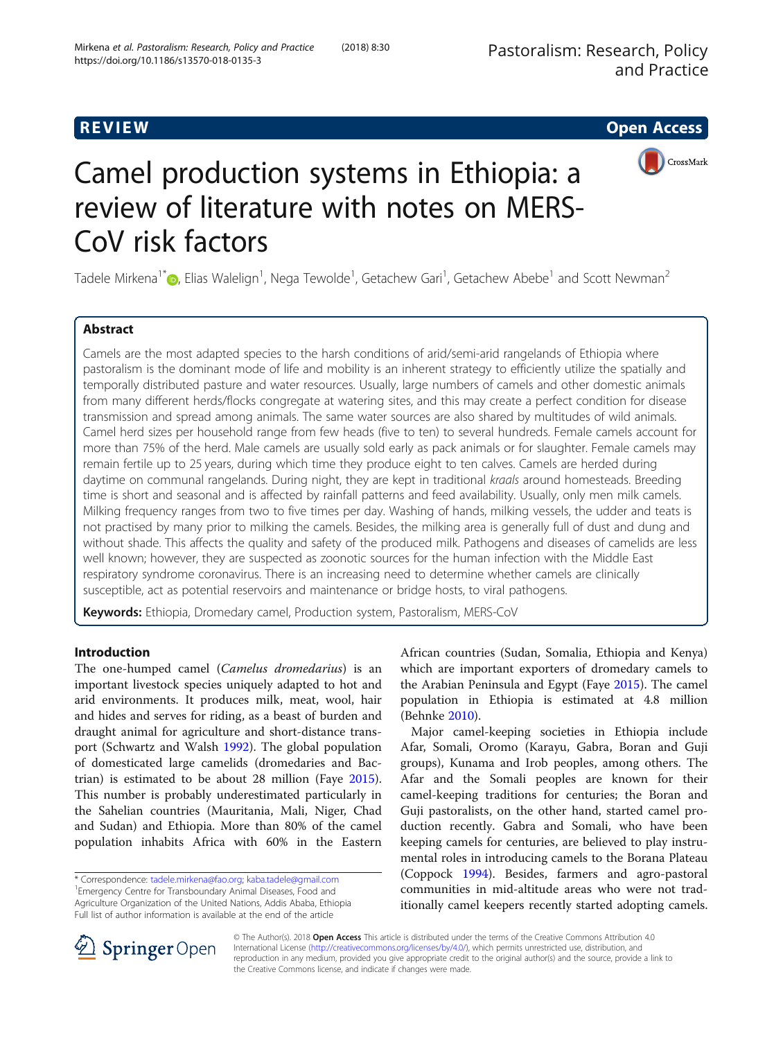# **REVIEW CONSTRUCTION CONSTRUCTION CONSTRUCTS**



# Camel production systems in Ethiopia: a review of literature with notes on MERS-CoV risk factors

Tadele Mirkena<sup>1\*</sup> $\bm{\odot}$ [,](http://orcid.org/0000-0001-5629-3074) Elias Walelign<sup>1</sup>, Nega Tewolde<sup>1</sup>, Getachew Gari<sup>1</sup>, Getachew Abebe<sup>1</sup> and Scott Newman<sup>2</sup>

# Abstract

Camels are the most adapted species to the harsh conditions of arid/semi-arid rangelands of Ethiopia where pastoralism is the dominant mode of life and mobility is an inherent strategy to efficiently utilize the spatially and temporally distributed pasture and water resources. Usually, large numbers of camels and other domestic animals from many different herds/flocks congregate at watering sites, and this may create a perfect condition for disease transmission and spread among animals. The same water sources are also shared by multitudes of wild animals. Camel herd sizes per household range from few heads (five to ten) to several hundreds. Female camels account for more than 75% of the herd. Male camels are usually sold early as pack animals or for slaughter. Female camels may remain fertile up to 25 years, during which time they produce eight to ten calves. Camels are herded during daytime on communal rangelands. During night, they are kept in traditional kraals around homesteads. Breeding time is short and seasonal and is affected by rainfall patterns and feed availability. Usually, only men milk camels. Milking frequency ranges from two to five times per day. Washing of hands, milking vessels, the udder and teats is not practised by many prior to milking the camels. Besides, the milking area is generally full of dust and dung and without shade. This affects the quality and safety of the produced milk. Pathogens and diseases of camelids are less well known; however, they are suspected as zoonotic sources for the human infection with the Middle East respiratory syndrome coronavirus. There is an increasing need to determine whether camels are clinically susceptible, act as potential reservoirs and maintenance or bridge hosts, to viral pathogens.

Keywords: Ethiopia, Dromedary camel, Production system, Pastoralism, MERS-CoV

# Introduction

The one-humped camel (Camelus dromedarius) is an important livestock species uniquely adapted to hot and arid environments. It produces milk, meat, wool, hair and hides and serves for riding, as a beast of burden and draught animal for agriculture and short-distance transport (Schwartz and Walsh [1992\)](#page-15-0). The global population of domesticated large camelids (dromedaries and Bactrian) is estimated to be about 28 million (Faye [2015](#page-15-0)). This number is probably underestimated particularly in the Sahelian countries (Mauritania, Mali, Niger, Chad and Sudan) and Ethiopia. More than 80% of the camel population inhabits Africa with 60% in the Eastern

\* Correspondence: [tadele.mirkena@fao.org](mailto:tadele.mirkena@fao.org); [kaba.tadele@gmail.com](mailto:kaba.tadele@gmail.com) <sup>1</sup>

<sup>1</sup> Emergency Centre for Transboundary Animal Diseases, Food and Agriculture Organization of the United Nations, Addis Ababa, Ethiopia Full list of author information is available at the end of the article

African countries (Sudan, Somalia, Ethiopia and Kenya) which are important exporters of dromedary camels to the Arabian Peninsula and Egypt (Faye [2015\)](#page-15-0). The camel population in Ethiopia is estimated at 4.8 million (Behnke [2010\)](#page-14-0).

Major camel-keeping societies in Ethiopia include Afar, Somali, Oromo (Karayu, Gabra, Boran and Guji groups), Kunama and Irob peoples, among others. The Afar and the Somali peoples are known for their camel-keeping traditions for centuries; the Boran and Guji pastoralists, on the other hand, started camel production recently. Gabra and Somali, who have been keeping camels for centuries, are believed to play instrumental roles in introducing camels to the Borana Plateau (Coppock [1994\)](#page-15-0). Besides, farmers and agro-pastoral communities in mid-altitude areas who were not traditionally camel keepers recently started adopting camels.



© The Author(s). 2018 Open Access This article is distributed under the terms of the Creative Commons Attribution 4.0 International License ([http://creativecommons.org/licenses/by/4.0/\)](http://creativecommons.org/licenses/by/4.0/), which permits unrestricted use, distribution, and reproduction in any medium, provided you give appropriate credit to the original author(s) and the source, provide a link to the Creative Commons license, and indicate if changes were made.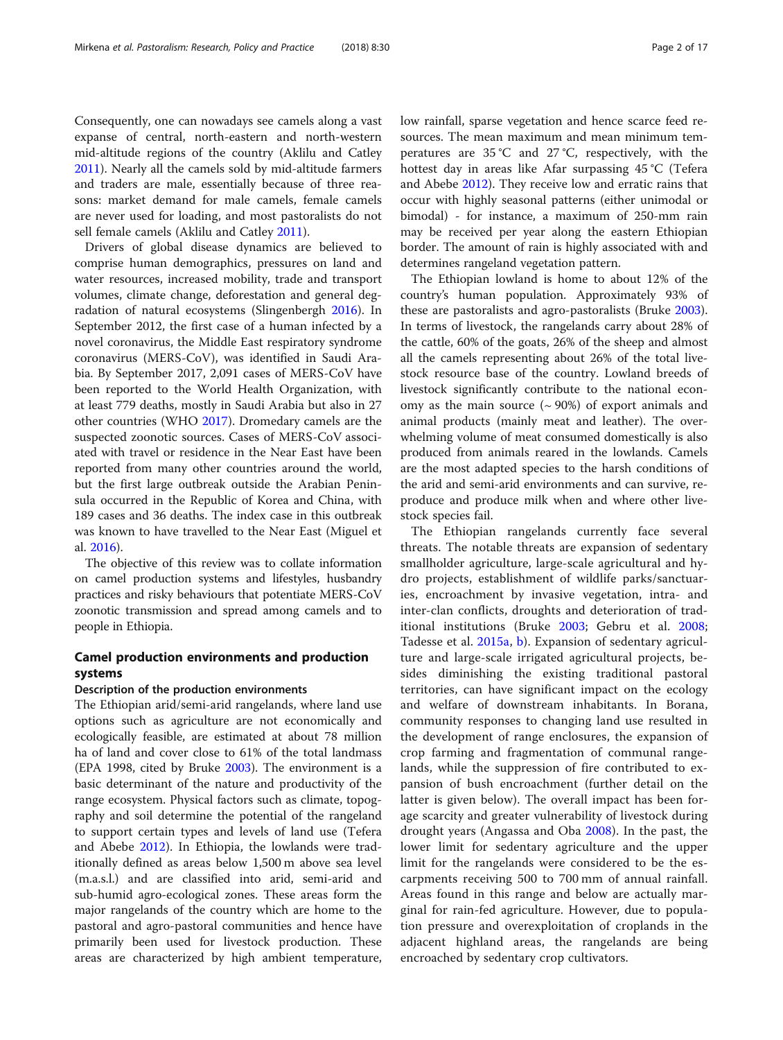Consequently, one can nowadays see camels along a vast expanse of central, north-eastern and north-western mid-altitude regions of the country (Aklilu and Catley [2011](#page-14-0)). Nearly all the camels sold by mid-altitude farmers and traders are male, essentially because of three reasons: market demand for male camels, female camels are never used for loading, and most pastoralists do not sell female camels (Aklilu and Catley [2011](#page-14-0)).

Drivers of global disease dynamics are believed to comprise human demographics, pressures on land and water resources, increased mobility, trade and transport volumes, climate change, deforestation and general degradation of natural ecosystems (Slingenbergh [2016\)](#page-16-0). In September 2012, the first case of a human infected by a novel coronavirus, the Middle East respiratory syndrome coronavirus (MERS-CoV), was identified in Saudi Arabia. By September 2017, 2,091 cases of MERS-CoV have been reported to the World Health Organization, with at least 779 deaths, mostly in Saudi Arabia but also in 27 other countries (WHO [2017](#page-16-0)). Dromedary camels are the suspected zoonotic sources. Cases of MERS-CoV associated with travel or residence in the Near East have been reported from many other countries around the world, but the first large outbreak outside the Arabian Peninsula occurred in the Republic of Korea and China, with 189 cases and 36 deaths. The index case in this outbreak was known to have travelled to the Near East (Miguel et al. [2016](#page-15-0)).

The objective of this review was to collate information on camel production systems and lifestyles, husbandry practices and risky behaviours that potentiate MERS-CoV zoonotic transmission and spread among camels and to people in Ethiopia.

# Camel production environments and production systems

#### Description of the production environments

The Ethiopian arid/semi-arid rangelands, where land use options such as agriculture are not economically and ecologically feasible, are estimated at about 78 million ha of land and cover close to 61% of the total landmass (EPA 1998, cited by Bruke [2003\)](#page-15-0). The environment is a basic determinant of the nature and productivity of the range ecosystem. Physical factors such as climate, topography and soil determine the potential of the rangeland to support certain types and levels of land use (Tefera and Abebe [2012](#page-16-0)). In Ethiopia, the lowlands were traditionally defined as areas below 1,500 m above sea level (m.a.s.l.) and are classified into arid, semi-arid and sub-humid agro-ecological zones. These areas form the major rangelands of the country which are home to the pastoral and agro-pastoral communities and hence have primarily been used for livestock production. These areas are characterized by high ambient temperature, low rainfall, sparse vegetation and hence scarce feed resources. The mean maximum and mean minimum temperatures are 35 °C and 27 °C, respectively, with the hottest day in areas like Afar surpassing 45 °C (Tefera and Abebe [2012](#page-16-0)). They receive low and erratic rains that occur with highly seasonal patterns (either unimodal or bimodal) - for instance, a maximum of 250-mm rain may be received per year along the eastern Ethiopian border. The amount of rain is highly associated with and determines rangeland vegetation pattern.

The Ethiopian lowland is home to about 12% of the country's human population. Approximately 93% of these are pastoralists and agro-pastoralists (Bruke [2003](#page-15-0)). In terms of livestock, the rangelands carry about 28% of the cattle, 60% of the goats, 26% of the sheep and almost all the camels representing about 26% of the total livestock resource base of the country. Lowland breeds of livestock significantly contribute to the national economy as the main source  $({\sim}90\%)$  of export animals and animal products (mainly meat and leather). The overwhelming volume of meat consumed domestically is also produced from animals reared in the lowlands. Camels are the most adapted species to the harsh conditions of the arid and semi-arid environments and can survive, reproduce and produce milk when and where other livestock species fail.

The Ethiopian rangelands currently face several threats. The notable threats are expansion of sedentary smallholder agriculture, large-scale agricultural and hydro projects, establishment of wildlife parks/sanctuaries, encroachment by invasive vegetation, intra- and inter-clan conflicts, droughts and deterioration of traditional institutions (Bruke [2003](#page-15-0); Gebru et al. [2008](#page-15-0); Tadesse et al. [2015a,](#page-16-0) [b](#page-16-0)). Expansion of sedentary agriculture and large-scale irrigated agricultural projects, besides diminishing the existing traditional pastoral territories, can have significant impact on the ecology and welfare of downstream inhabitants. In Borana, community responses to changing land use resulted in the development of range enclosures, the expansion of crop farming and fragmentation of communal rangelands, while the suppression of fire contributed to expansion of bush encroachment (further detail on the latter is given below). The overall impact has been forage scarcity and greater vulnerability of livestock during drought years (Angassa and Oba [2008\)](#page-14-0). In the past, the lower limit for sedentary agriculture and the upper limit for the rangelands were considered to be the escarpments receiving 500 to 700 mm of annual rainfall. Areas found in this range and below are actually marginal for rain-fed agriculture. However, due to population pressure and overexploitation of croplands in the adjacent highland areas, the rangelands are being encroached by sedentary crop cultivators.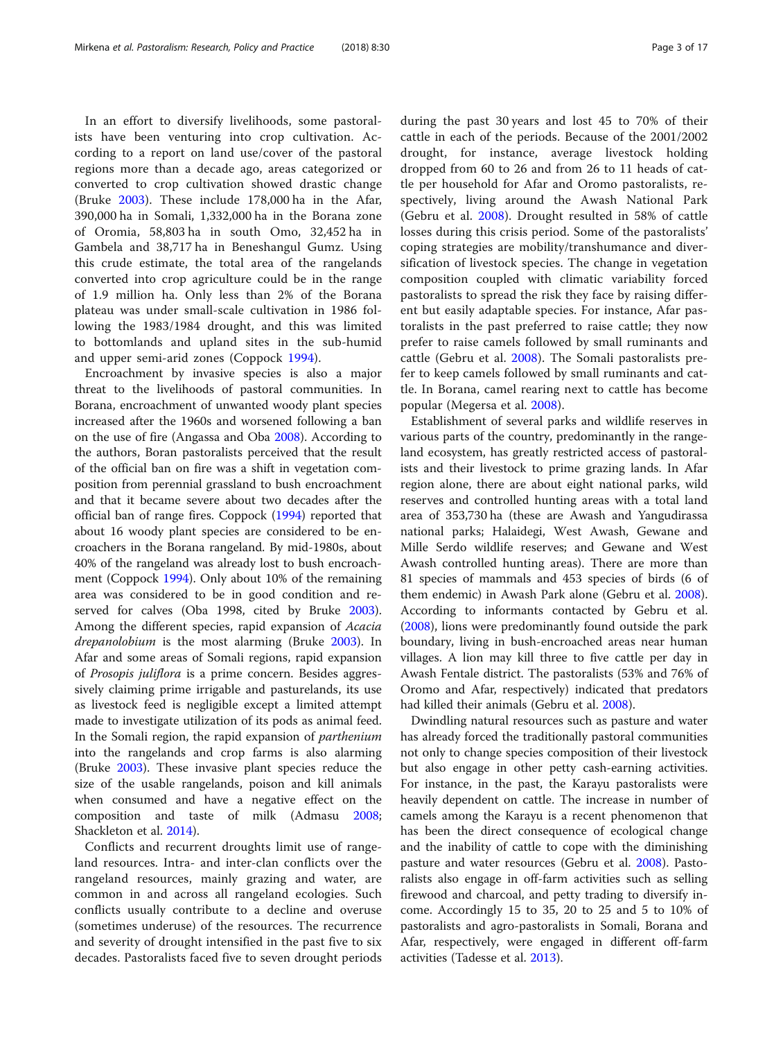In an effort to diversify livelihoods, some pastoralists have been venturing into crop cultivation. According to a report on land use/cover of the pastoral regions more than a decade ago, areas categorized or converted to crop cultivation showed drastic change (Bruke [2003](#page-15-0)). These include 178,000 ha in the Afar, 390,000 ha in Somali, 1,332,000 ha in the Borana zone of Oromia, 58,803 ha in south Omo, 32,452 ha in Gambela and 38,717 ha in Beneshangul Gumz. Using this crude estimate, the total area of the rangelands converted into crop agriculture could be in the range of 1.9 million ha. Only less than 2% of the Borana plateau was under small-scale cultivation in 1986 following the 1983/1984 drought, and this was limited to bottomlands and upland sites in the sub-humid and upper semi-arid zones (Coppock [1994\)](#page-15-0).

Encroachment by invasive species is also a major threat to the livelihoods of pastoral communities. In Borana, encroachment of unwanted woody plant species increased after the 1960s and worsened following a ban on the use of fire (Angassa and Oba [2008](#page-14-0)). According to the authors, Boran pastoralists perceived that the result of the official ban on fire was a shift in vegetation composition from perennial grassland to bush encroachment and that it became severe about two decades after the official ban of range fires. Coppock ([1994](#page-15-0)) reported that about 16 woody plant species are considered to be encroachers in the Borana rangeland. By mid-1980s, about 40% of the rangeland was already lost to bush encroachment (Coppock [1994\)](#page-15-0). Only about 10% of the remaining area was considered to be in good condition and reserved for calves (Oba 1998, cited by Bruke [2003](#page-15-0)). Among the different species, rapid expansion of Acacia drepanolobium is the most alarming (Bruke [2003](#page-15-0)). In Afar and some areas of Somali regions, rapid expansion of Prosopis juliflora is a prime concern. Besides aggressively claiming prime irrigable and pasturelands, its use as livestock feed is negligible except a limited attempt made to investigate utilization of its pods as animal feed. In the Somali region, the rapid expansion of parthenium into the rangelands and crop farms is also alarming (Bruke [2003\)](#page-15-0). These invasive plant species reduce the size of the usable rangelands, poison and kill animals when consumed and have a negative effect on the composition and taste of milk (Admasu [2008](#page-14-0); Shackleton et al. [2014](#page-15-0)).

Conflicts and recurrent droughts limit use of rangeland resources. Intra- and inter-clan conflicts over the rangeland resources, mainly grazing and water, are common in and across all rangeland ecologies. Such conflicts usually contribute to a decline and overuse (sometimes underuse) of the resources. The recurrence and severity of drought intensified in the past five to six decades. Pastoralists faced five to seven drought periods during the past 30 years and lost 45 to 70% of their cattle in each of the periods. Because of the 2001/2002 drought, for instance, average livestock holding dropped from 60 to 26 and from 26 to 11 heads of cattle per household for Afar and Oromo pastoralists, respectively, living around the Awash National Park (Gebru et al. [2008\)](#page-15-0). Drought resulted in 58% of cattle losses during this crisis period. Some of the pastoralists' coping strategies are mobility/transhumance and diversification of livestock species. The change in vegetation composition coupled with climatic variability forced pastoralists to spread the risk they face by raising different but easily adaptable species. For instance, Afar pastoralists in the past preferred to raise cattle; they now prefer to raise camels followed by small ruminants and cattle (Gebru et al. [2008](#page-15-0)). The Somali pastoralists prefer to keep camels followed by small ruminants and cattle. In Borana, camel rearing next to cattle has become popular (Megersa et al. [2008](#page-15-0)).

Establishment of several parks and wildlife reserves in various parts of the country, predominantly in the rangeland ecosystem, has greatly restricted access of pastoralists and their livestock to prime grazing lands. In Afar region alone, there are about eight national parks, wild reserves and controlled hunting areas with a total land area of 353,730 ha (these are Awash and Yangudirassa national parks; Halaidegi, West Awash, Gewane and Mille Serdo wildlife reserves; and Gewane and West Awash controlled hunting areas). There are more than 81 species of mammals and 453 species of birds (6 of them endemic) in Awash Park alone (Gebru et al. [2008](#page-15-0)). According to informants contacted by Gebru et al. ([2008\)](#page-15-0), lions were predominantly found outside the park boundary, living in bush-encroached areas near human villages. A lion may kill three to five cattle per day in Awash Fentale district. The pastoralists (53% and 76% of Oromo and Afar, respectively) indicated that predators had killed their animals (Gebru et al. [2008](#page-15-0)).

Dwindling natural resources such as pasture and water has already forced the traditionally pastoral communities not only to change species composition of their livestock but also engage in other petty cash-earning activities. For instance, in the past, the Karayu pastoralists were heavily dependent on cattle. The increase in number of camels among the Karayu is a recent phenomenon that has been the direct consequence of ecological change and the inability of cattle to cope with the diminishing pasture and water resources (Gebru et al. [2008\)](#page-15-0). Pastoralists also engage in off-farm activities such as selling firewood and charcoal, and petty trading to diversify income. Accordingly 15 to 35, 20 to 25 and 5 to 10% of pastoralists and agro-pastoralists in Somali, Borana and Afar, respectively, were engaged in different off-farm activities (Tadesse et al. [2013](#page-16-0)).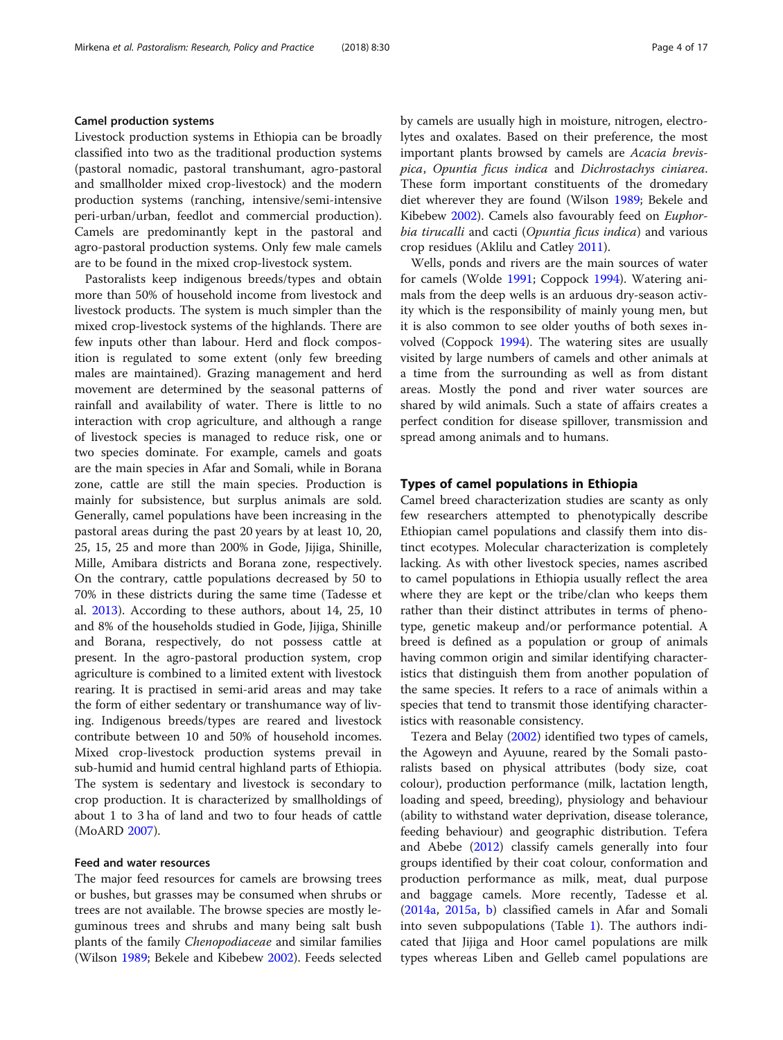#### Camel production systems

Livestock production systems in Ethiopia can be broadly classified into two as the traditional production systems (pastoral nomadic, pastoral transhumant, agro-pastoral and smallholder mixed crop-livestock) and the modern production systems (ranching, intensive/semi-intensive peri-urban/urban, feedlot and commercial production). Camels are predominantly kept in the pastoral and agro-pastoral production systems. Only few male camels are to be found in the mixed crop-livestock system.

Pastoralists keep indigenous breeds/types and obtain more than 50% of household income from livestock and livestock products. The system is much simpler than the mixed crop-livestock systems of the highlands. There are few inputs other than labour. Herd and flock composition is regulated to some extent (only few breeding males are maintained). Grazing management and herd movement are determined by the seasonal patterns of rainfall and availability of water. There is little to no interaction with crop agriculture, and although a range of livestock species is managed to reduce risk, one or two species dominate. For example, camels and goats are the main species in Afar and Somali, while in Borana zone, cattle are still the main species. Production is mainly for subsistence, but surplus animals are sold. Generally, camel populations have been increasing in the pastoral areas during the past 20 years by at least 10, 20, 25, 15, 25 and more than 200% in Gode, Jijiga, Shinille, Mille, Amibara districts and Borana zone, respectively. On the contrary, cattle populations decreased by 50 to 70% in these districts during the same time (Tadesse et al. [2013\)](#page-16-0). According to these authors, about 14, 25, 10 and 8% of the households studied in Gode, Jijiga, Shinille and Borana, respectively, do not possess cattle at present. In the agro-pastoral production system, crop agriculture is combined to a limited extent with livestock rearing. It is practised in semi-arid areas and may take the form of either sedentary or transhumance way of living. Indigenous breeds/types are reared and livestock contribute between 10 and 50% of household incomes. Mixed crop-livestock production systems prevail in sub-humid and humid central highland parts of Ethiopia. The system is sedentary and livestock is secondary to crop production. It is characterized by smallholdings of about 1 to 3 ha of land and two to four heads of cattle (MoARD [2007\)](#page-15-0).

#### Feed and water resources

The major feed resources for camels are browsing trees or bushes, but grasses may be consumed when shrubs or trees are not available. The browse species are mostly leguminous trees and shrubs and many being salt bush plants of the family Chenopodiaceae and similar families (Wilson [1989](#page-16-0); Bekele and Kibebew [2002](#page-14-0)). Feeds selected by camels are usually high in moisture, nitrogen, electrolytes and oxalates. Based on their preference, the most important plants browsed by camels are Acacia brevispica, Opuntia ficus indica and Dichrostachys ciniarea. These form important constituents of the dromedary diet wherever they are found (Wilson [1989;](#page-16-0) Bekele and Kibebew [2002\)](#page-14-0). Camels also favourably feed on *Euphor*bia tirucalli and cacti (Opuntia ficus indica) and various crop residues (Aklilu and Catley [2011](#page-14-0)).

Wells, ponds and rivers are the main sources of water for camels (Wolde [1991](#page-16-0); Coppock [1994](#page-15-0)). Watering animals from the deep wells is an arduous dry-season activity which is the responsibility of mainly young men, but it is also common to see older youths of both sexes involved (Coppock [1994\)](#page-15-0). The watering sites are usually visited by large numbers of camels and other animals at a time from the surrounding as well as from distant areas. Mostly the pond and river water sources are shared by wild animals. Such a state of affairs creates a perfect condition for disease spillover, transmission and spread among animals and to humans.

#### Types of camel populations in Ethiopia

Camel breed characterization studies are scanty as only few researchers attempted to phenotypically describe Ethiopian camel populations and classify them into distinct ecotypes. Molecular characterization is completely lacking. As with other livestock species, names ascribed to camel populations in Ethiopia usually reflect the area where they are kept or the tribe/clan who keeps them rather than their distinct attributes in terms of phenotype, genetic makeup and/or performance potential. A breed is defined as a population or group of animals having common origin and similar identifying characteristics that distinguish them from another population of the same species. It refers to a race of animals within a species that tend to transmit those identifying characteristics with reasonable consistency.

Tezera and Belay ([2002\)](#page-16-0) identified two types of camels, the Agoweyn and Ayuune, reared by the Somali pastoralists based on physical attributes (body size, coat colour), production performance (milk, lactation length, loading and speed, breeding), physiology and behaviour (ability to withstand water deprivation, disease tolerance, feeding behaviour) and geographic distribution. Tefera and Abebe ([2012](#page-16-0)) classify camels generally into four groups identified by their coat colour, conformation and production performance as milk, meat, dual purpose and baggage camels. More recently, Tadesse et al. ([2014a](#page-16-0), [2015a](#page-16-0), [b\)](#page-16-0) classified camels in Afar and Somali into seven subpopulations (Table [1\)](#page-5-0). The authors indicated that Jijiga and Hoor camel populations are milk types whereas Liben and Gelleb camel populations are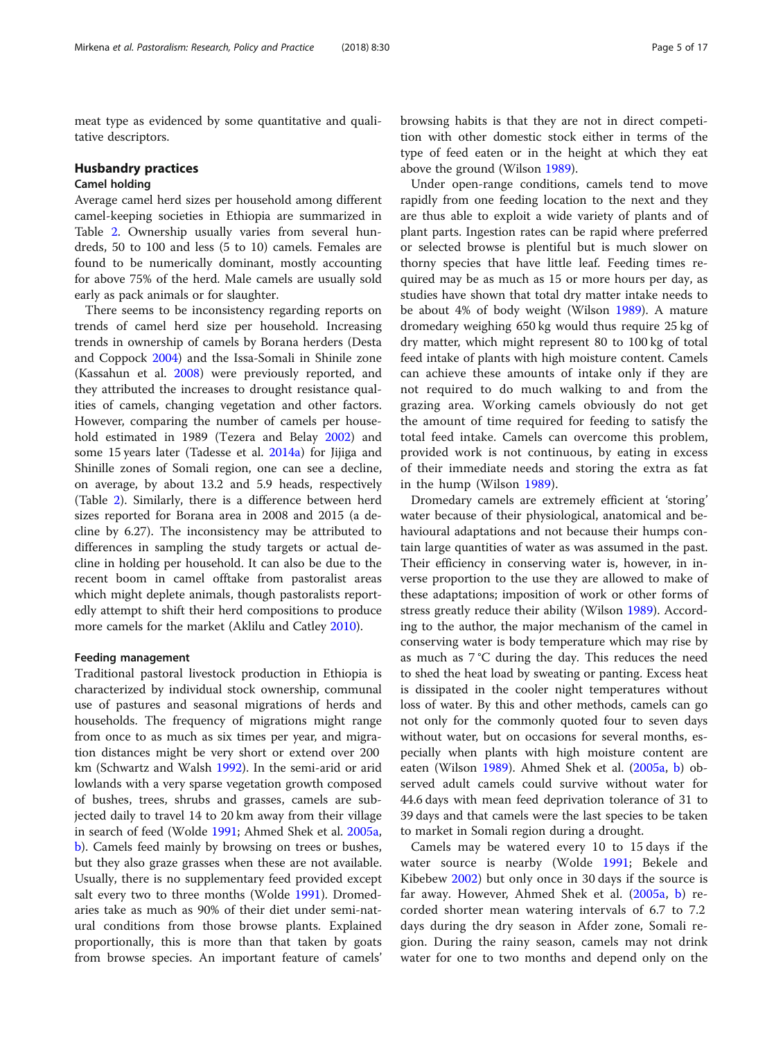meat type as evidenced by some quantitative and qualitative descriptors.

#### Husbandry practices

#### Camel holding

Average camel herd sizes per household among different camel-keeping societies in Ethiopia are summarized in Table [2.](#page-6-0) Ownership usually varies from several hundreds, 50 to 100 and less (5 to 10) camels. Females are found to be numerically dominant, mostly accounting for above 75% of the herd. Male camels are usually sold early as pack animals or for slaughter.

There seems to be inconsistency regarding reports on trends of camel herd size per household. Increasing trends in ownership of camels by Borana herders (Desta and Coppock [2004](#page-15-0)) and the Issa-Somali in Shinile zone (Kassahun et al. [2008\)](#page-15-0) were previously reported, and they attributed the increases to drought resistance qualities of camels, changing vegetation and other factors. However, comparing the number of camels per household estimated in 1989 (Tezera and Belay [2002\)](#page-16-0) and some 15 years later (Tadesse et al. [2014a\)](#page-16-0) for Jijiga and Shinille zones of Somali region, one can see a decline, on average, by about 13.2 and 5.9 heads, respectively (Table [2](#page-6-0)). Similarly, there is a difference between herd sizes reported for Borana area in 2008 and 2015 (a decline by 6.27). The inconsistency may be attributed to differences in sampling the study targets or actual decline in holding per household. It can also be due to the recent boom in camel offtake from pastoralist areas which might deplete animals, though pastoralists reportedly attempt to shift their herd compositions to produce more camels for the market (Aklilu and Catley [2010\)](#page-14-0).

#### Feeding management

Traditional pastoral livestock production in Ethiopia is characterized by individual stock ownership, communal use of pastures and seasonal migrations of herds and households. The frequency of migrations might range from once to as much as six times per year, and migration distances might be very short or extend over 200 km (Schwartz and Walsh [1992](#page-15-0)). In the semi-arid or arid lowlands with a very sparse vegetation growth composed of bushes, trees, shrubs and grasses, camels are subjected daily to travel 14 to 20 km away from their village in search of feed (Wolde [1991;](#page-16-0) Ahmed Shek et al. [2005a](#page-14-0), [b\)](#page-14-0). Camels feed mainly by browsing on trees or bushes, but they also graze grasses when these are not available. Usually, there is no supplementary feed provided except salt every two to three months (Wolde [1991](#page-16-0)). Dromedaries take as much as 90% of their diet under semi-natural conditions from those browse plants. Explained proportionally, this is more than that taken by goats from browse species. An important feature of camels' browsing habits is that they are not in direct competition with other domestic stock either in terms of the type of feed eaten or in the height at which they eat above the ground (Wilson [1989](#page-16-0)).

Under open-range conditions, camels tend to move rapidly from one feeding location to the next and they are thus able to exploit a wide variety of plants and of plant parts. Ingestion rates can be rapid where preferred or selected browse is plentiful but is much slower on thorny species that have little leaf. Feeding times required may be as much as 15 or more hours per day, as studies have shown that total dry matter intake needs to be about 4% of body weight (Wilson [1989](#page-16-0)). A mature dromedary weighing 650 kg would thus require 25 kg of dry matter, which might represent 80 to 100 kg of total feed intake of plants with high moisture content. Camels can achieve these amounts of intake only if they are not required to do much walking to and from the grazing area. Working camels obviously do not get the amount of time required for feeding to satisfy the total feed intake. Camels can overcome this problem, provided work is not continuous, by eating in excess of their immediate needs and storing the extra as fat in the hump (Wilson [1989](#page-16-0)).

Dromedary camels are extremely efficient at 'storing' water because of their physiological, anatomical and behavioural adaptations and not because their humps contain large quantities of water as was assumed in the past. Their efficiency in conserving water is, however, in inverse proportion to the use they are allowed to make of these adaptations; imposition of work or other forms of stress greatly reduce their ability (Wilson [1989\)](#page-16-0). According to the author, the major mechanism of the camel in conserving water is body temperature which may rise by as much as 7 °C during the day. This reduces the need to shed the heat load by sweating or panting. Excess heat is dissipated in the cooler night temperatures without loss of water. By this and other methods, camels can go not only for the commonly quoted four to seven days without water, but on occasions for several months, especially when plants with high moisture content are eaten (Wilson [1989\)](#page-16-0). Ahmed Shek et al. ([2005a](#page-14-0), [b\)](#page-14-0) observed adult camels could survive without water for 44.6 days with mean feed deprivation tolerance of 31 to 39 days and that camels were the last species to be taken to market in Somali region during a drought.

Camels may be watered every 10 to 15 days if the water source is nearby (Wolde [1991;](#page-16-0) Bekele and Kibebew [2002\)](#page-14-0) but only once in 30 days if the source is far away. However, Ahmed Shek et al. ([2005a](#page-14-0), [b\)](#page-14-0) recorded shorter mean watering intervals of 6.7 to 7.2 days during the dry season in Afder zone, Somali region. During the rainy season, camels may not drink water for one to two months and depend only on the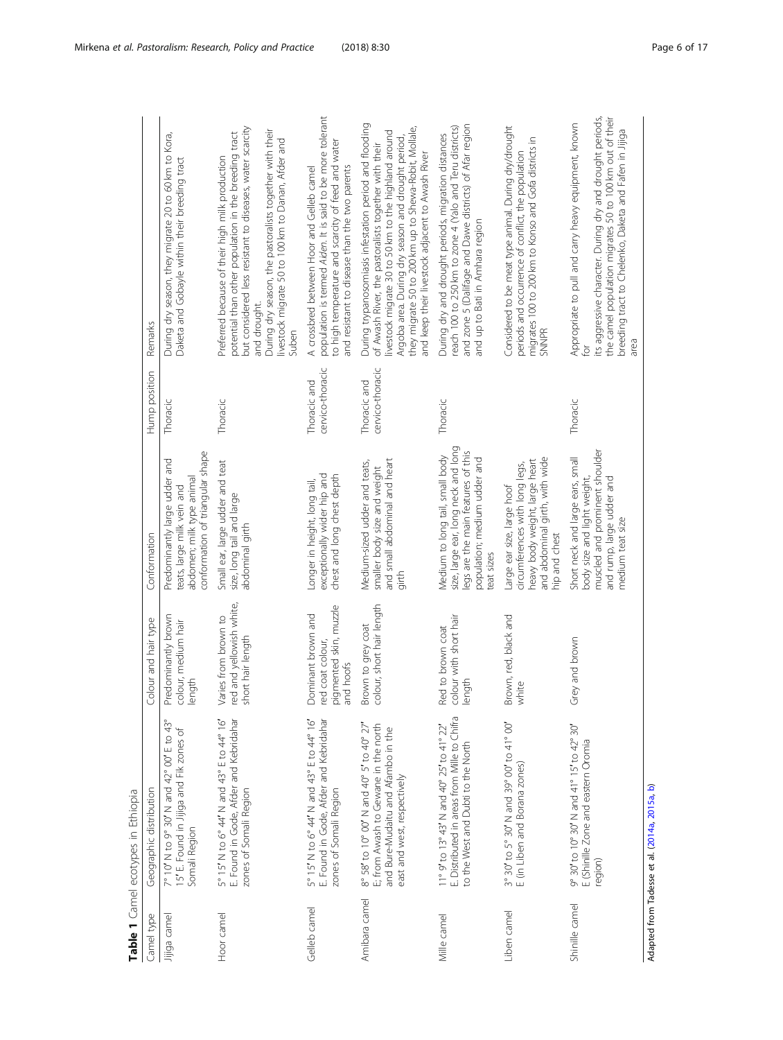<span id="page-5-0"></span>

| Camel type     | Geographic distribution                                                                                                                                | Colour and hair type                                                          | Conformation                                                                                                                                              | Hump position                    | Remarks                                                                                                                                                                                                                                                                                                                                   |
|----------------|--------------------------------------------------------------------------------------------------------------------------------------------------------|-------------------------------------------------------------------------------|-----------------------------------------------------------------------------------------------------------------------------------------------------------|----------------------------------|-------------------------------------------------------------------------------------------------------------------------------------------------------------------------------------------------------------------------------------------------------------------------------------------------------------------------------------------|
| Jijiga camel   | 7° 10′ N to 9° 30′ N and 42° 00′ E to 43°<br>15′ E. Found in Jijiga and Fik zones of<br>Somali Region                                                  | Predominantly brown<br>colour, medium hair<br>length                          | conformation of triangular shape<br>Predominantly large udder and<br>abdomen; milk type animal<br>teats, large milk vein and                              | Thoracic                         | During dry season, they migrate 20 to 60 km to Kora,<br>Daketa and Gobayle within their breeding tract                                                                                                                                                                                                                                    |
| Hoor camel     | E. Found in Gode, Afder and Kebridahar<br>5° 15' N to 6° 44' N and 43° E to 44° 16'<br>zones of Somali Region                                          | red and yellowish white,<br>Varies from brown to<br>short hair length         | Small ear, large udder and teat<br>size, long tail and large<br>abdominal girth                                                                           | Thoracic                         | but considered less resistant to diseases, water scarcity<br>During dry season, the pastoralists together with their<br>potential than other population in the breeding tract<br>livestock migrate 50 to 100 km to Danan, Afder and<br>Preferred because of their high milk production<br>and drought.<br>Suben                           |
| Gelleb camel   | E. Found in Gode, Afder and Kebridahar<br>5° 15' N to 6° 44' N and 43° E to 44° 16'<br>zones of Somali Region                                          | pigmented skin, muzzle<br>Dominant brown and<br>red coat colour,<br>and hoofs | chest and long chest depth<br>exceptionally wider hip and<br>Longer in height, long tail,                                                                 | cervico-thoracic<br>Thoracic and | population is termed Aiden. It is said to be more tolerant<br>to high temperature and scarcity of feed and water<br>and resistant to disease than the two parents<br>A crossbred between Hoor and Gelleb camel                                                                                                                            |
| Amibara camel  | 8° 58' to 10° 00' N and 40° 5' to 40° 27'<br>E; from Awash to Gewane in the north<br>and Bure-Mudaitu and Afambo in the<br>east and west, respectively | colour, short hair length<br>Brown to grey coat                               | and small abdominal and heart<br>Medium-sized udder and teats,<br>smaller body size and weight<br>girth                                                   | cervico-thoracic<br>Thoracic and | During trypanosomiasis infestation period and flooding<br>they migrate 50 to 200 km up to Shewa-Robit, Mollale,<br>livestock migrate 30 to 50 km to the highland around<br>Argoba area. During dry season and drought period,<br>of Awash River, the pastoralists together with their<br>and keep their livestock adjacent to Awash River |
| Mille camel    | E. Distributed in areas from Mille to Chifra<br>11° 9' to 13° 43' N and 40° 25' to 41° 22'<br>to the West and Dubti to the North                       | colour with short hair<br>Red to brown coat<br>length                         | size, large ear, long neck and long<br>legs are the main features of this<br>Medium to long tail, small body<br>population; medium udder and<br>eat sizes | Thoracic                         | and zone 5 (Dalifage and Dawe districts) of Afar region<br>reach 100 to 250 km to zone 4 (Yalo and Teru districts)<br>During dry and drought periods, migration distances<br>and up to Bati in Amhara region                                                                                                                              |
| Liben camel    | 3° 30' to 5° 30' N and 39° 00' to 41° 00'<br>E (in Liben and Borana zones)                                                                             | Brown, red, black and<br>white                                                | and abdominal girth, with wide<br>heavy body weight, large heart<br>circumferences with long legs,<br>Large ear size, large hoof<br>hip and chest         |                                  | Considered to be meat type animal. During dry/drought<br>migrates 100 to 200 km to Konso and Gofa districts in<br>periods and occurrence of conflict, the population<br><b>SNNPR</b>                                                                                                                                                      |
| Shinille camel | 9° 30' to 10° 30' N and 41° 15' to 42° 30'<br>E (Shinille Zone and eastern Oromia<br>region)                                                           | Grey and brown                                                                | muscled and prominent shoulder<br>Short neck and large ears, small<br>body size and light weight,<br>and rump, large udder and<br>medium teat size        | Thoracic                         | its aggressive character. During dry and drought periods,<br>the camel population migrates 50 to 100 km out of their<br>Appropriate to pull and carry heavy equipment, known<br>breeding tract to Chelenko, Daketa and Fafen in Jijiga<br>area<br>Ğ                                                                                       |

Table 1 Camel ecotypes in Ethiopia Table 1 Camel ecotypes in Ethiopia Adapted from Tadesse et al. (2014a, 2015a, b) Adapted from Tadesse et al. ([2014a](#page-16-0), [2015a](#page-16-0), [b](#page-16-0))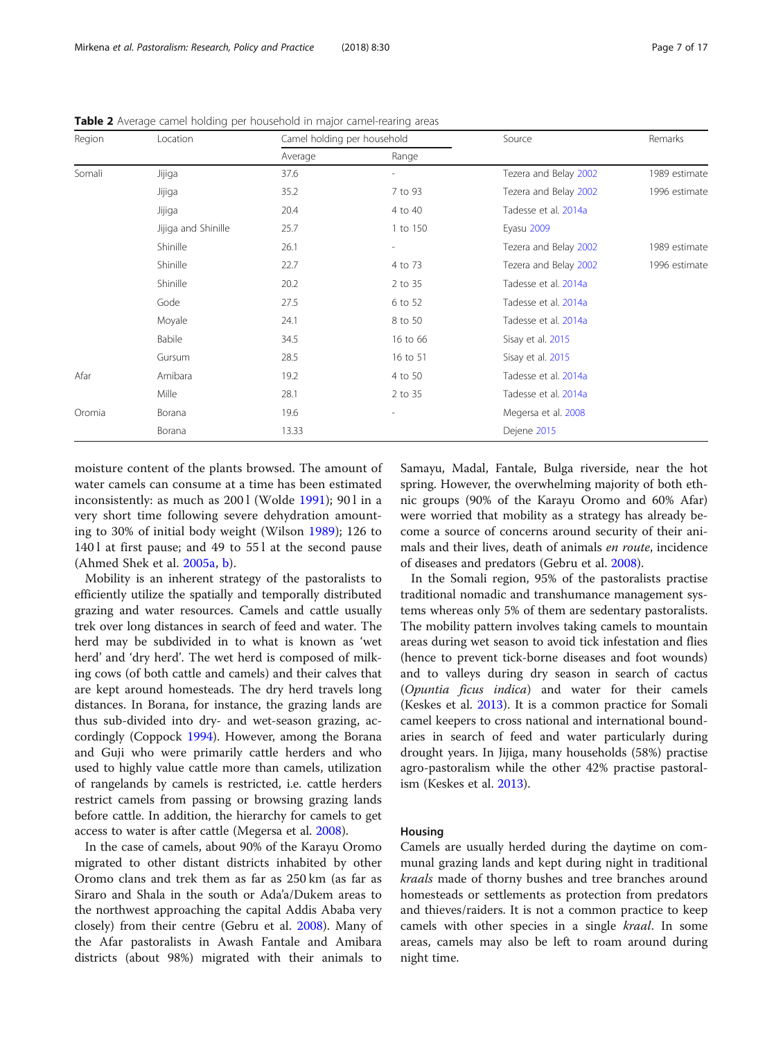| Region | Location            | Camel holding per household |                          | Source                | Remarks       |
|--------|---------------------|-----------------------------|--------------------------|-----------------------|---------------|
|        |                     | Average                     | Range                    |                       |               |
| Somali | Jijiga              | 37.6                        | $\overline{\phantom{0}}$ | Tezera and Belay 2002 | 1989 estimate |
|        | Jijiga              | 35.2                        | 7 to 93                  | Tezera and Belay 2002 | 1996 estimate |
|        | Jijiga              | 20.4                        | 4 to 40                  | Tadesse et al. 2014a  |               |
|        | Jijiga and Shinille | 25.7                        | 1 to 150                 | Eyasu 2009            |               |
|        | Shinille            | 26.1                        | $\overline{\phantom{0}}$ | Tezera and Belay 2002 | 1989 estimate |
|        | Shinille            | 22.7                        | 4 to 73                  | Tezera and Belay 2002 | 1996 estimate |
|        | Shinille            | 20.2                        | 2 to 35                  | Tadesse et al. 2014a  |               |
|        | Gode                | 27.5                        | 6 to 52                  | Tadesse et al. 2014a  |               |
|        | Moyale              | 24.1                        | 8 to 50                  | Tadesse et al. 2014a  |               |
|        | Babile              | 34.5                        | 16 to 66                 | Sisay et al. 2015     |               |
|        | Gursum              | 28.5                        | 16 to 51                 | Sisay et al. 2015     |               |
| Afar   | Amibara             | 19.2                        | 4 to 50                  | Tadesse et al. 2014a  |               |
|        | Mille               | 28.1                        | 2 to 35                  | Tadesse et al. 2014a  |               |
| Oromia | Borana              | 19.6                        | ٠                        | Megersa et al. 2008   |               |
|        | Borana              | 13.33                       |                          | Dejene 2015           |               |

<span id="page-6-0"></span>Table 2 Average camel holding per household in major camel-rearing areas

moisture content of the plants browsed. The amount of water camels can consume at a time has been estimated inconsistently: as much as 200 l (Wolde [1991\)](#page-16-0); 90 l in a very short time following severe dehydration amounting to 30% of initial body weight (Wilson [1989\)](#page-16-0); 126 to 140 l at first pause; and 49 to 55 l at the second pause (Ahmed Shek et al. [2005a](#page-14-0), [b](#page-14-0)).

Mobility is an inherent strategy of the pastoralists to efficiently utilize the spatially and temporally distributed grazing and water resources. Camels and cattle usually trek over long distances in search of feed and water. The herd may be subdivided in to what is known as 'wet herd' and 'dry herd'. The wet herd is composed of milking cows (of both cattle and camels) and their calves that are kept around homesteads. The dry herd travels long distances. In Borana, for instance, the grazing lands are thus sub-divided into dry- and wet-season grazing, accordingly (Coppock [1994\)](#page-15-0). However, among the Borana and Guji who were primarily cattle herders and who used to highly value cattle more than camels, utilization of rangelands by camels is restricted, i.e. cattle herders restrict camels from passing or browsing grazing lands before cattle. In addition, the hierarchy for camels to get access to water is after cattle (Megersa et al. [2008\)](#page-15-0).

In the case of camels, about 90% of the Karayu Oromo migrated to other distant districts inhabited by other Oromo clans and trek them as far as 250 km (as far as Siraro and Shala in the south or Ada'a/Dukem areas to the northwest approaching the capital Addis Ababa very closely) from their centre (Gebru et al. [2008\)](#page-15-0). Many of the Afar pastoralists in Awash Fantale and Amibara districts (about 98%) migrated with their animals to Samayu, Madal, Fantale, Bulga riverside, near the hot spring. However, the overwhelming majority of both ethnic groups (90% of the Karayu Oromo and 60% Afar) were worried that mobility as a strategy has already become a source of concerns around security of their animals and their lives, death of animals en route, incidence of diseases and predators (Gebru et al. [2008\)](#page-15-0).

In the Somali region, 95% of the pastoralists practise traditional nomadic and transhumance management systems whereas only 5% of them are sedentary pastoralists. The mobility pattern involves taking camels to mountain areas during wet season to avoid tick infestation and flies (hence to prevent tick-borne diseases and foot wounds) and to valleys during dry season in search of cactus (Opuntia ficus indica) and water for their camels (Keskes et al. [2013\)](#page-15-0). It is a common practice for Somali camel keepers to cross national and international boundaries in search of feed and water particularly during drought years. In Jijiga, many households (58%) practise agro-pastoralism while the other 42% practise pastoralism (Keskes et al. [2013](#page-15-0)).

#### Housing

Camels are usually herded during the daytime on communal grazing lands and kept during night in traditional kraals made of thorny bushes and tree branches around homesteads or settlements as protection from predators and thieves/raiders. It is not a common practice to keep camels with other species in a single *kraal*. In some areas, camels may also be left to roam around during night time.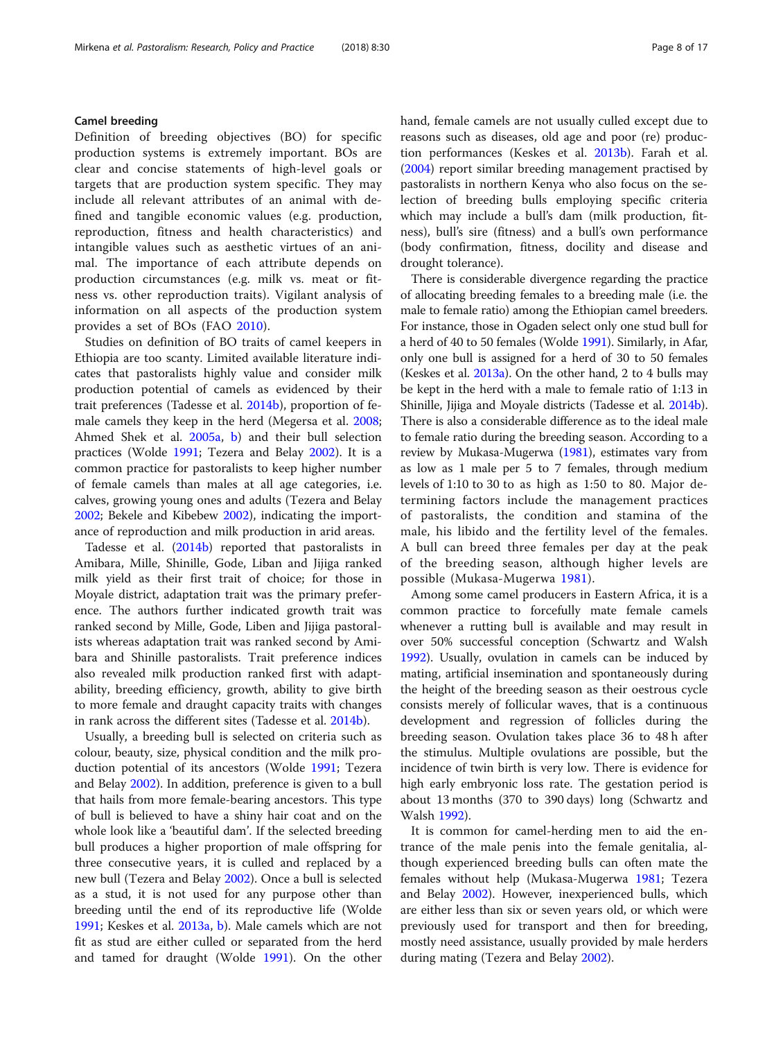#### Camel breeding

Definition of breeding objectives (BO) for specific production systems is extremely important. BOs are clear and concise statements of high-level goals or targets that are production system specific. They may include all relevant attributes of an animal with defined and tangible economic values (e.g. production, reproduction, fitness and health characteristics) and intangible values such as aesthetic virtues of an animal. The importance of each attribute depends on production circumstances (e.g. milk vs. meat or fitness vs. other reproduction traits). Vigilant analysis of information on all aspects of the production system provides a set of BOs (FAO [2010](#page-15-0)).

Studies on definition of BO traits of camel keepers in Ethiopia are too scanty. Limited available literature indicates that pastoralists highly value and consider milk production potential of camels as evidenced by their trait preferences (Tadesse et al. [2014b\)](#page-16-0), proportion of female camels they keep in the herd (Megersa et al. [2008](#page-15-0); Ahmed Shek et al. [2005a](#page-14-0), [b\)](#page-14-0) and their bull selection practices (Wolde [1991](#page-16-0); Tezera and Belay [2002\)](#page-16-0). It is a common practice for pastoralists to keep higher number of female camels than males at all age categories, i.e. calves, growing young ones and adults (Tezera and Belay [2002](#page-16-0); Bekele and Kibebew [2002](#page-14-0)), indicating the importance of reproduction and milk production in arid areas.

Tadesse et al. [\(2014b\)](#page-16-0) reported that pastoralists in Amibara, Mille, Shinille, Gode, Liban and Jijiga ranked milk yield as their first trait of choice; for those in Moyale district, adaptation trait was the primary preference. The authors further indicated growth trait was ranked second by Mille, Gode, Liben and Jijiga pastoralists whereas adaptation trait was ranked second by Amibara and Shinille pastoralists. Trait preference indices also revealed milk production ranked first with adaptability, breeding efficiency, growth, ability to give birth to more female and draught capacity traits with changes in rank across the different sites (Tadesse et al. [2014b](#page-16-0)).

Usually, a breeding bull is selected on criteria such as colour, beauty, size, physical condition and the milk production potential of its ancestors (Wolde [1991](#page-16-0); Tezera and Belay [2002\)](#page-16-0). In addition, preference is given to a bull that hails from more female-bearing ancestors. This type of bull is believed to have a shiny hair coat and on the whole look like a 'beautiful dam'. If the selected breeding bull produces a higher proportion of male offspring for three consecutive years, it is culled and replaced by a new bull (Tezera and Belay [2002](#page-16-0)). Once a bull is selected as a stud, it is not used for any purpose other than breeding until the end of its reproductive life (Wolde [1991](#page-16-0); Keskes et al. [2013a,](#page-15-0) [b](#page-15-0)). Male camels which are not fit as stud are either culled or separated from the herd and tamed for draught (Wolde [1991\)](#page-16-0). On the other hand, female camels are not usually culled except due to reasons such as diseases, old age and poor (re) production performances (Keskes et al. [2013b](#page-15-0)). Farah et al. ([2004\)](#page-15-0) report similar breeding management practised by pastoralists in northern Kenya who also focus on the selection of breeding bulls employing specific criteria which may include a bull's dam (milk production, fitness), bull's sire (fitness) and a bull's own performance (body confirmation, fitness, docility and disease and drought tolerance).

There is considerable divergence regarding the practice of allocating breeding females to a breeding male (i.e. the male to female ratio) among the Ethiopian camel breeders. For instance, those in Ogaden select only one stud bull for a herd of 40 to 50 females (Wolde [1991\)](#page-16-0). Similarly, in Afar, only one bull is assigned for a herd of 30 to 50 females (Keskes et al. [2013a\)](#page-15-0). On the other hand, 2 to 4 bulls may be kept in the herd with a male to female ratio of 1:13 in Shinille, Jijiga and Moyale districts (Tadesse et al. [2014b](#page-16-0)). There is also a considerable difference as to the ideal male to female ratio during the breeding season. According to a review by Mukasa-Mugerwa [\(1981\)](#page-15-0), estimates vary from as low as 1 male per 5 to 7 females, through medium levels of 1:10 to 30 to as high as 1:50 to 80. Major determining factors include the management practices of pastoralists, the condition and stamina of the male, his libido and the fertility level of the females. A bull can breed three females per day at the peak of the breeding season, although higher levels are possible (Mukasa-Mugerwa [1981](#page-15-0)).

Among some camel producers in Eastern Africa, it is a common practice to forcefully mate female camels whenever a rutting bull is available and may result in over 50% successful conception (Schwartz and Walsh [1992](#page-15-0)). Usually, ovulation in camels can be induced by mating, artificial insemination and spontaneously during the height of the breeding season as their oestrous cycle consists merely of follicular waves, that is a continuous development and regression of follicles during the breeding season. Ovulation takes place 36 to 48 h after the stimulus. Multiple ovulations are possible, but the incidence of twin birth is very low. There is evidence for high early embryonic loss rate. The gestation period is about 13 months (370 to 390 days) long (Schwartz and Walsh [1992](#page-15-0)).

It is common for camel-herding men to aid the entrance of the male penis into the female genitalia, although experienced breeding bulls can often mate the females without help (Mukasa-Mugerwa [1981](#page-15-0); Tezera and Belay [2002](#page-16-0)). However, inexperienced bulls, which are either less than six or seven years old, or which were previously used for transport and then for breeding, mostly need assistance, usually provided by male herders during mating (Tezera and Belay [2002\)](#page-16-0).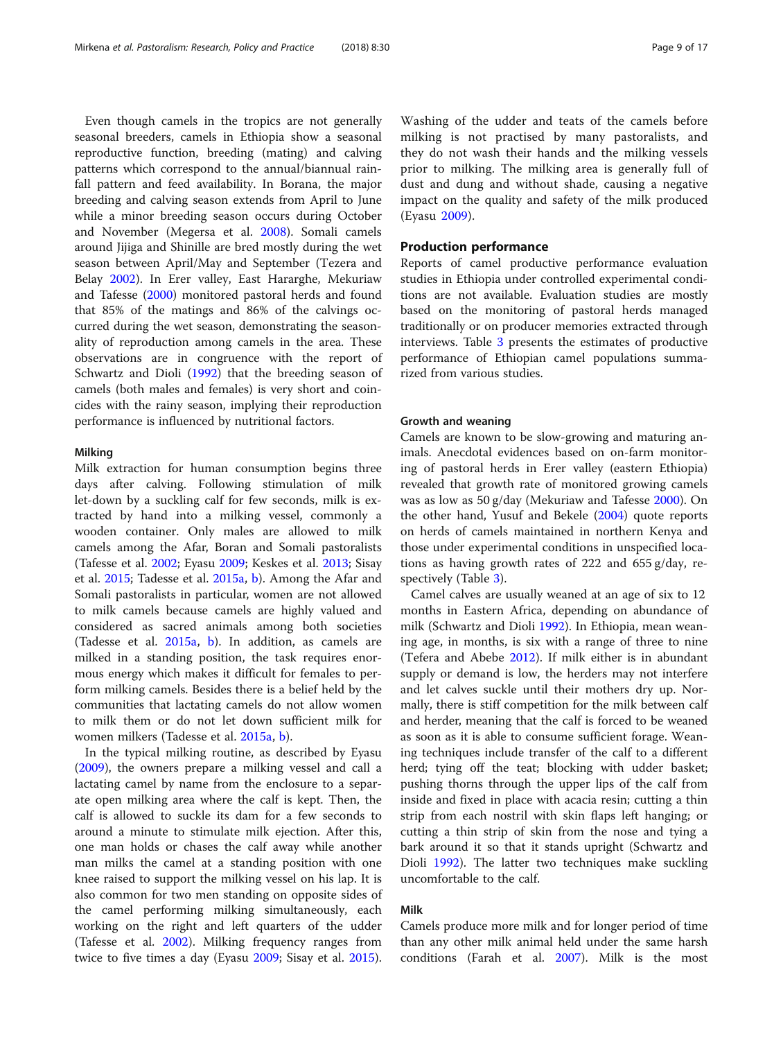Even though camels in the tropics are not generally seasonal breeders, camels in Ethiopia show a seasonal reproductive function, breeding (mating) and calving patterns which correspond to the annual/biannual rainfall pattern and feed availability. In Borana, the major breeding and calving season extends from April to June while a minor breeding season occurs during October and November (Megersa et al. [2008\)](#page-15-0). Somali camels around Jijiga and Shinille are bred mostly during the wet season between April/May and September (Tezera and Belay [2002](#page-16-0)). In Erer valley, East Hararghe, Mekuriaw and Tafesse ([2000](#page-15-0)) monitored pastoral herds and found that 85% of the matings and 86% of the calvings occurred during the wet season, demonstrating the seasonality of reproduction among camels in the area. These observations are in congruence with the report of Schwartz and Dioli ([1992](#page-15-0)) that the breeding season of camels (both males and females) is very short and coincides with the rainy season, implying their reproduction performance is influenced by nutritional factors.

#### Milking

Milk extraction for human consumption begins three days after calving. Following stimulation of milk let-down by a suckling calf for few seconds, milk is extracted by hand into a milking vessel, commonly a wooden container. Only males are allowed to milk camels among the Afar, Boran and Somali pastoralists (Tafesse et al. [2002;](#page-16-0) Eyasu [2009](#page-15-0); Keskes et al. [2013](#page-15-0); Sisay et al. [2015](#page-16-0); Tadesse et al. [2015a](#page-16-0), [b\)](#page-16-0). Among the Afar and Somali pastoralists in particular, women are not allowed to milk camels because camels are highly valued and considered as sacred animals among both societies (Tadesse et al. [2015a](#page-16-0), [b](#page-16-0)). In addition, as camels are milked in a standing position, the task requires enormous energy which makes it difficult for females to perform milking camels. Besides there is a belief held by the communities that lactating camels do not allow women to milk them or do not let down sufficient milk for women milkers (Tadesse et al. [2015a](#page-16-0), [b](#page-16-0)).

In the typical milking routine, as described by Eyasu ([2009](#page-15-0)), the owners prepare a milking vessel and call a lactating camel by name from the enclosure to a separate open milking area where the calf is kept. Then, the calf is allowed to suckle its dam for a few seconds to around a minute to stimulate milk ejection. After this, one man holds or chases the calf away while another man milks the camel at a standing position with one knee raised to support the milking vessel on his lap. It is also common for two men standing on opposite sides of the camel performing milking simultaneously, each working on the right and left quarters of the udder (Tafesse et al. [2002](#page-16-0)). Milking frequency ranges from twice to five times a day (Eyasu [2009](#page-15-0); Sisay et al. [2015](#page-16-0)). Washing of the udder and teats of the camels before milking is not practised by many pastoralists, and they do not wash their hands and the milking vessels prior to milking. The milking area is generally full of dust and dung and without shade, causing a negative impact on the quality and safety of the milk produced (Eyasu [2009\)](#page-15-0).

### Production performance

Reports of camel productive performance evaluation studies in Ethiopia under controlled experimental conditions are not available. Evaluation studies are mostly based on the monitoring of pastoral herds managed traditionally or on producer memories extracted through interviews. Table [3](#page-9-0) presents the estimates of productive performance of Ethiopian camel populations summarized from various studies.

#### Growth and weaning

Camels are known to be slow-growing and maturing animals. Anecdotal evidences based on on-farm monitoring of pastoral herds in Erer valley (eastern Ethiopia) revealed that growth rate of monitored growing camels was as low as 50 g/day (Mekuriaw and Tafesse [2000](#page-15-0)). On the other hand, Yusuf and Bekele ([2004\)](#page-16-0) quote reports on herds of camels maintained in northern Kenya and those under experimental conditions in unspecified locations as having growth rates of 222 and 655 g/day, respectively (Table [3](#page-9-0)).

Camel calves are usually weaned at an age of six to 12 months in Eastern Africa, depending on abundance of milk (Schwartz and Dioli [1992\)](#page-15-0). In Ethiopia, mean weaning age, in months, is six with a range of three to nine (Tefera and Abebe [2012\)](#page-16-0). If milk either is in abundant supply or demand is low, the herders may not interfere and let calves suckle until their mothers dry up. Normally, there is stiff competition for the milk between calf and herder, meaning that the calf is forced to be weaned as soon as it is able to consume sufficient forage. Weaning techniques include transfer of the calf to a different herd; tying off the teat; blocking with udder basket; pushing thorns through the upper lips of the calf from inside and fixed in place with acacia resin; cutting a thin strip from each nostril with skin flaps left hanging; or cutting a thin strip of skin from the nose and tying a bark around it so that it stands upright (Schwartz and Dioli [1992\)](#page-15-0). The latter two techniques make suckling uncomfortable to the calf.

#### Milk

Camels produce more milk and for longer period of time than any other milk animal held under the same harsh conditions (Farah et al. [2007](#page-15-0)). Milk is the most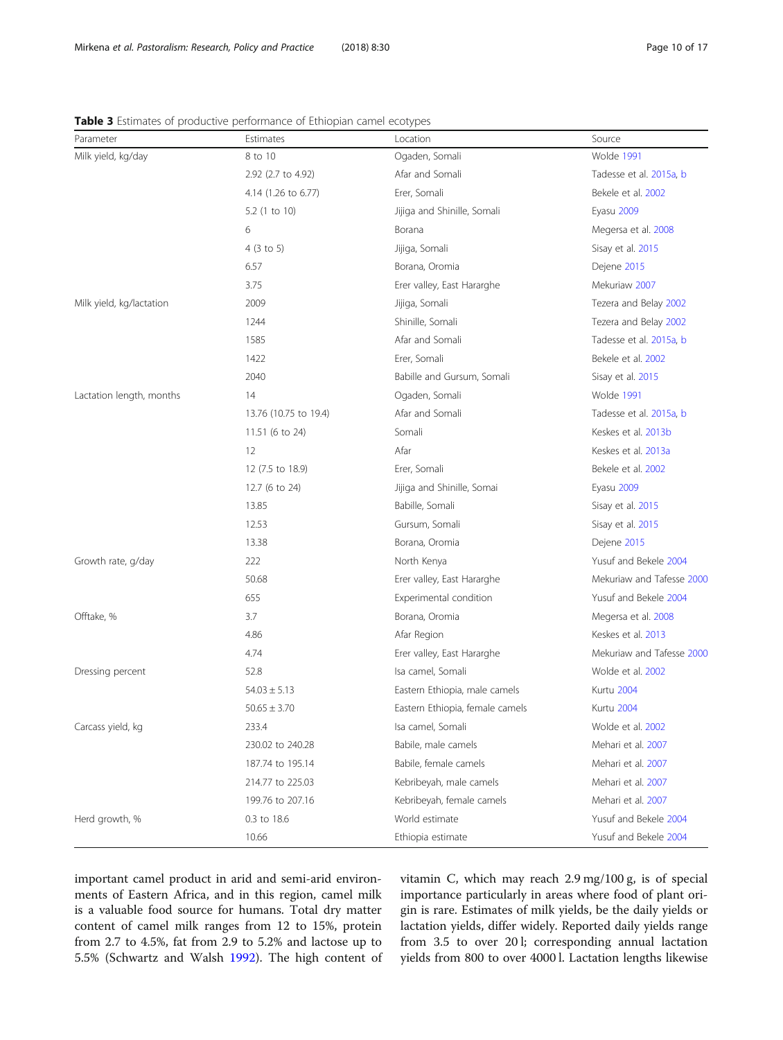| Parameter                | Estimates             | Location                        | Source                    |
|--------------------------|-----------------------|---------------------------------|---------------------------|
| Milk yield, kg/day       | 8 to 10               | Ogaden, Somali                  | Wolde 1991                |
|                          | 2.92 (2.7 to 4.92)    | Afar and Somali                 | Tadesse et al. 2015a, b   |
|                          | 4.14 (1.26 to 6.77)   | Erer, Somali                    | Bekele et al. 2002        |
|                          | 5.2 (1 to 10)         | Jijiga and Shinille, Somali     | Eyasu 2009                |
|                          | 6                     | Borana                          | Megersa et al. 2008       |
|                          | 4(3 to 5)             | Jijiga, Somali                  | Sisay et al. 2015         |
|                          | 6.57                  | Borana, Oromia                  | Dejene 2015               |
|                          | 3.75                  | Erer valley, East Hararghe      | Mekuriaw 2007             |
| Milk yield, kg/lactation | 2009                  | Jijiga, Somali                  | Tezera and Belay 2002     |
|                          | 1244                  | Shinille, Somali                | Tezera and Belay 2002     |
|                          | 1585                  | Afar and Somali                 | Tadesse et al. 2015a, b   |
|                          | 1422                  | Erer, Somali                    | Bekele et al. 2002        |
|                          | 2040                  | Babille and Gursum, Somali      | Sisay et al. 2015         |
| Lactation length, months | 14                    | Ogaden, Somali                  | Wolde 1991                |
|                          | 13.76 (10.75 to 19.4) | Afar and Somali                 | Tadesse et al. 2015a, b   |
|                          | 11.51 (6 to 24)       | Somali                          | Keskes et al. 2013b       |
|                          | 12                    | Afar                            | Keskes et al. 2013a       |
|                          | 12 (7.5 to 18.9)      | Erer, Somali                    | Bekele et al. 2002        |
|                          | 12.7 (6 to 24)        | Jijiga and Shinille, Somai      | Eyasu 2009                |
|                          | 13.85                 | Babille, Somali                 | Sisay et al. 2015         |
|                          | 12.53                 | Gursum, Somali                  | Sisay et al. 2015         |
|                          | 13.38                 | Borana, Oromia                  | Dejene 2015               |
| Growth rate, g/day       | 222                   | North Kenya                     | Yusuf and Bekele 2004     |
|                          | 50.68                 | Erer valley, East Hararghe      | Mekuriaw and Tafesse 2000 |
|                          | 655                   | Experimental condition          | Yusuf and Bekele 2004     |
| Offtake, %               | 3.7                   | Borana, Oromia                  | Megersa et al. 2008       |
|                          | 4.86                  | Afar Region                     | Keskes et al. 2013        |
|                          | 4.74                  | Erer valley, East Hararghe      | Mekuriaw and Tafesse 2000 |
| Dressing percent         | 52.8                  | Isa camel, Somali               | Wolde et al. 2002         |
|                          | $54.03 \pm 5.13$      | Eastern Ethiopia, male camels   | Kurtu 2004                |
|                          | $50.65 \pm 3.70$      | Eastern Ethiopia, female camels | Kurtu 2004                |
| Carcass yield, kg        | 233.4                 | Isa camel, Somali               | Wolde et al. 2002         |
|                          | 230.02 to 240.28      | Babile, male camels             | Mehari et al. 2007        |
|                          | 187.74 to 195.14      | Babile, female camels           | Mehari et al. 2007        |
|                          | 214.77 to 225.03      | Kebribeyah, male camels         | Mehari et al. 2007        |
|                          | 199.76 to 207.16      | Kebribeyah, female camels       | Mehari et al. 2007        |
| Herd growth, %           | 0.3 to 18.6           | World estimate                  | Yusuf and Bekele 2004     |
|                          | 10.66                 | Ethiopia estimate               | Yusuf and Bekele 2004     |

<span id="page-9-0"></span>Table 3 Estimates of productive performance of Ethiopian camel ecotypes

important camel product in arid and semi-arid environments of Eastern Africa, and in this region, camel milk is a valuable food source for humans. Total dry matter content of camel milk ranges from 12 to 15%, protein from 2.7 to 4.5%, fat from 2.9 to 5.2% and lactose up to 5.5% (Schwartz and Walsh [1992](#page-15-0)). The high content of vitamin C, which may reach 2.9 mg/100 g, is of special importance particularly in areas where food of plant origin is rare. Estimates of milk yields, be the daily yields or lactation yields, differ widely. Reported daily yields range from 3.5 to over 20 l; corresponding annual lactation yields from 800 to over 4000 l. Lactation lengths likewise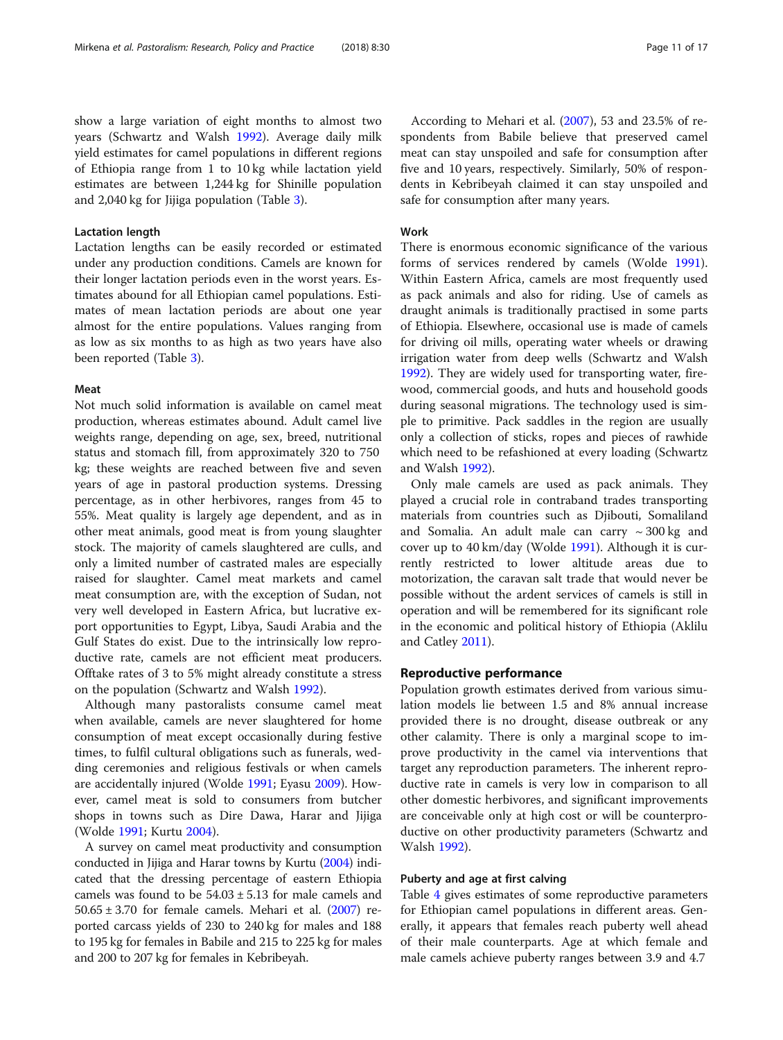show a large variation of eight months to almost two years (Schwartz and Walsh [1992\)](#page-15-0). Average daily milk yield estimates for camel populations in different regions of Ethiopia range from 1 to 10 kg while lactation yield estimates are between 1,244 kg for Shinille population and 2,040 kg for Jijiga population (Table [3\)](#page-9-0).

#### Lactation length

Lactation lengths can be easily recorded or estimated under any production conditions. Camels are known for their longer lactation periods even in the worst years. Estimates abound for all Ethiopian camel populations. Estimates of mean lactation periods are about one year almost for the entire populations. Values ranging from as low as six months to as high as two years have also been reported (Table [3\)](#page-9-0).

#### Meat

Not much solid information is available on camel meat production, whereas estimates abound. Adult camel live weights range, depending on age, sex, breed, nutritional status and stomach fill, from approximately 320 to 750 kg; these weights are reached between five and seven years of age in pastoral production systems. Dressing percentage, as in other herbivores, ranges from 45 to 55%. Meat quality is largely age dependent, and as in other meat animals, good meat is from young slaughter stock. The majority of camels slaughtered are culls, and only a limited number of castrated males are especially raised for slaughter. Camel meat markets and camel meat consumption are, with the exception of Sudan, not very well developed in Eastern Africa, but lucrative export opportunities to Egypt, Libya, Saudi Arabia and the Gulf States do exist. Due to the intrinsically low reproductive rate, camels are not efficient meat producers. Offtake rates of 3 to 5% might already constitute a stress on the population (Schwartz and Walsh [1992\)](#page-15-0).

Although many pastoralists consume camel meat when available, camels are never slaughtered for home consumption of meat except occasionally during festive times, to fulfil cultural obligations such as funerals, wedding ceremonies and religious festivals or when camels are accidentally injured (Wolde [1991;](#page-16-0) Eyasu [2009](#page-15-0)). However, camel meat is sold to consumers from butcher shops in towns such as Dire Dawa, Harar and Jijiga (Wolde [1991;](#page-16-0) Kurtu [2004](#page-15-0)).

A survey on camel meat productivity and consumption conducted in Jijiga and Harar towns by Kurtu [\(2004\)](#page-15-0) indicated that the dressing percentage of eastern Ethiopia camels was found to be  $54.03 \pm 5.13$  for male camels and  $50.65 \pm 3.70$  for female camels. Mehari et al.  $(2007)$  $(2007)$  reported carcass yields of 230 to 240 kg for males and 188 to 195 kg for females in Babile and 215 to 225 kg for males and 200 to 207 kg for females in Kebribeyah.

According to Mehari et al. [\(2007\)](#page-15-0), 53 and 23.5% of respondents from Babile believe that preserved camel meat can stay unspoiled and safe for consumption after five and 10 years, respectively. Similarly, 50% of respondents in Kebribeyah claimed it can stay unspoiled and safe for consumption after many years.

#### Work

There is enormous economic significance of the various forms of services rendered by camels (Wolde [1991](#page-16-0)). Within Eastern Africa, camels are most frequently used as pack animals and also for riding. Use of camels as draught animals is traditionally practised in some parts of Ethiopia. Elsewhere, occasional use is made of camels for driving oil mills, operating water wheels or drawing irrigation water from deep wells (Schwartz and Walsh [1992](#page-15-0)). They are widely used for transporting water, firewood, commercial goods, and huts and household goods during seasonal migrations. The technology used is simple to primitive. Pack saddles in the region are usually only a collection of sticks, ropes and pieces of rawhide which need to be refashioned at every loading (Schwartz and Walsh [1992](#page-15-0)).

Only male camels are used as pack animals. They played a crucial role in contraband trades transporting materials from countries such as Djibouti, Somaliland and Somalia. An adult male can carry  $\sim$  300 kg and cover up to 40 km/day (Wolde [1991\)](#page-16-0). Although it is currently restricted to lower altitude areas due to motorization, the caravan salt trade that would never be possible without the ardent services of camels is still in operation and will be remembered for its significant role in the economic and political history of Ethiopia (Aklilu and Catley [2011\)](#page-14-0).

## Reproductive performance

Population growth estimates derived from various simulation models lie between 1.5 and 8% annual increase provided there is no drought, disease outbreak or any other calamity. There is only a marginal scope to improve productivity in the camel via interventions that target any reproduction parameters. The inherent reproductive rate in camels is very low in comparison to all other domestic herbivores, and significant improvements are conceivable only at high cost or will be counterproductive on other productivity parameters (Schwartz and Walsh [1992](#page-15-0)).

#### Puberty and age at first calving

Table [4](#page-12-0) gives estimates of some reproductive parameters for Ethiopian camel populations in different areas. Generally, it appears that females reach puberty well ahead of their male counterparts. Age at which female and male camels achieve puberty ranges between 3.9 and 4.7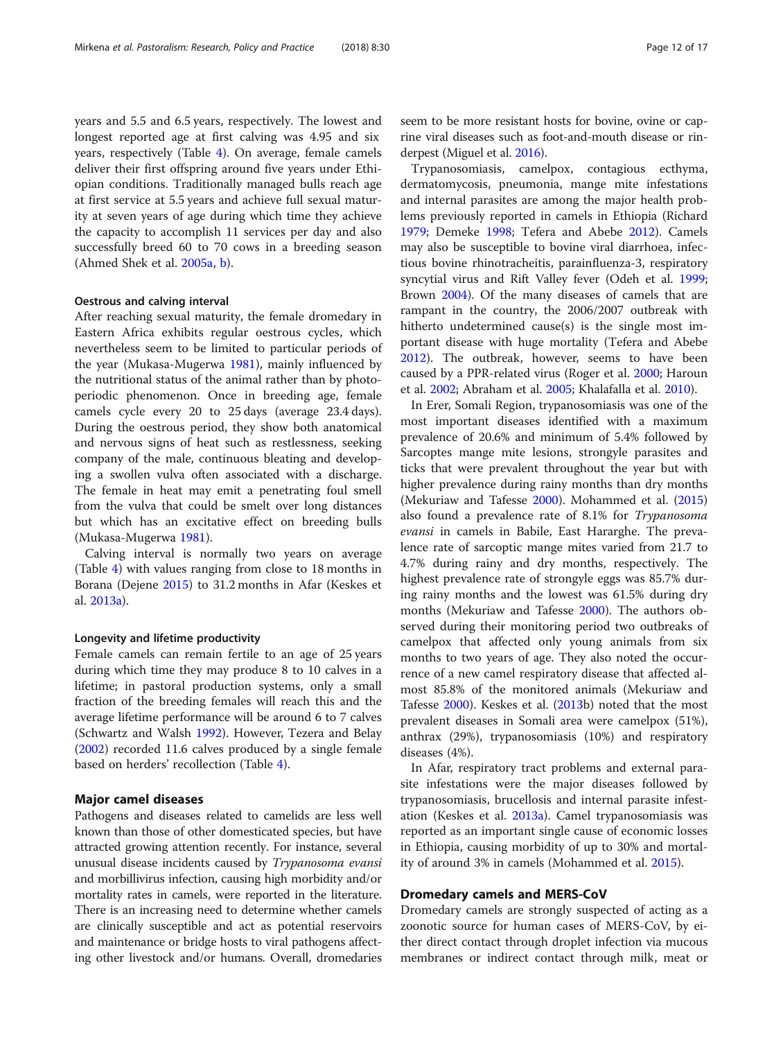years and 5.5 and 6.5 years, respectively. The lowest and longest reported age at first calving was 4.95 and six years, respectively (Table [4](#page-12-0)). On average, female camels deliver their first offspring around five years under Ethiopian conditions. Traditionally managed bulls reach age at first service at 5.5 years and achieve full sexual maturity at seven years of age during which time they achieve the capacity to accomplish 11 services per day and also successfully breed 60 to 70 cows in a breeding season (Ahmed Shek et al. [2005a](#page-14-0), [b](#page-14-0)).

#### Oestrous and calving interval

After reaching sexual maturity, the female dromedary in Eastern Africa exhibits regular oestrous cycles, which nevertheless seem to be limited to particular periods of the year (Mukasa-Mugerwa [1981](#page-15-0)), mainly influenced by the nutritional status of the animal rather than by photoperiodic phenomenon. Once in breeding age, female camels cycle every 20 to 25 days (average 23.4 days). During the oestrous period, they show both anatomical and nervous signs of heat such as restlessness, seeking company of the male, continuous bleating and developing a swollen vulva often associated with a discharge. The female in heat may emit a penetrating foul smell from the vulva that could be smelt over long distances but which has an excitative effect on breeding bulls (Mukasa-Mugerwa [1981](#page-15-0)).

Calving interval is normally two years on average (Table [4](#page-12-0)) with values ranging from close to 18 months in Borana (Dejene [2015\)](#page-15-0) to 31.2 months in Afar (Keskes et al. [2013a\)](#page-15-0).

#### Longevity and lifetime productivity

Female camels can remain fertile to an age of 25 years during which time they may produce 8 to 10 calves in a lifetime; in pastoral production systems, only a small fraction of the breeding females will reach this and the average lifetime performance will be around 6 to 7 calves (Schwartz and Walsh [1992\)](#page-15-0). However, Tezera and Belay ([2002](#page-16-0)) recorded 11.6 calves produced by a single female based on herders' recollection (Table [4\)](#page-12-0).

#### Major camel diseases

Pathogens and diseases related to camelids are less well known than those of other domesticated species, but have attracted growing attention recently. For instance, several unusual disease incidents caused by Trypanosoma evansi and morbillivirus infection, causing high morbidity and/or mortality rates in camels, were reported in the literature. There is an increasing need to determine whether camels are clinically susceptible and act as potential reservoirs and maintenance or bridge hosts to viral pathogens affecting other livestock and/or humans. Overall, dromedaries seem to be more resistant hosts for bovine, ovine or caprine viral diseases such as foot-and-mouth disease or rinderpest (Miguel et al. [2016](#page-15-0)).

Trypanosomiasis, camelpox, contagious ecthyma, dermatomycosis, pneumonia, mange mite infestations and internal parasites are among the major health problems previously reported in camels in Ethiopia (Richard [1979](#page-15-0); Demeke [1998](#page-15-0); Tefera and Abebe [2012](#page-16-0)). Camels may also be susceptible to bovine viral diarrhoea, infectious bovine rhinotracheitis, parainfluenza-3, respiratory syncytial virus and Rift Valley fever (Odeh et al. [1999](#page-15-0); Brown [2004\)](#page-15-0). Of the many diseases of camels that are rampant in the country, the 2006/2007 outbreak with hitherto undetermined cause(s) is the single most important disease with huge mortality (Tefera and Abebe [2012](#page-16-0)). The outbreak, however, seems to have been caused by a PPR-related virus (Roger et al. [2000;](#page-15-0) Haroun et al. [2002;](#page-15-0) Abraham et al. [2005](#page-14-0); Khalafalla et al. [2010](#page-15-0)).

In Erer, Somali Region, trypanosomiasis was one of the most important diseases identified with a maximum prevalence of 20.6% and minimum of 5.4% followed by Sarcoptes mange mite lesions, strongyle parasites and ticks that were prevalent throughout the year but with higher prevalence during rainy months than dry months (Mekuriaw and Tafesse [2000\)](#page-15-0). Mohammed et al. ([2015](#page-15-0)) also found a prevalence rate of 8.1% for Trypanosoma evansi in camels in Babile, East Hararghe. The prevalence rate of sarcoptic mange mites varied from 21.7 to 4.7% during rainy and dry months, respectively. The highest prevalence rate of strongyle eggs was 85.7% during rainy months and the lowest was 61.5% during dry months (Mekuriaw and Tafesse [2000](#page-15-0)). The authors observed during their monitoring period two outbreaks of camelpox that affected only young animals from six months to two years of age. They also noted the occurrence of a new camel respiratory disease that affected almost 85.8% of the monitored animals (Mekuriaw and Tafesse [2000](#page-15-0)). Keskes et al. [\(2013b](#page-15-0)) noted that the most prevalent diseases in Somali area were camelpox (51%), anthrax (29%), trypanosomiasis (10%) and respiratory diseases (4%).

In Afar, respiratory tract problems and external parasite infestations were the major diseases followed by trypanosomiasis, brucellosis and internal parasite infestation (Keskes et al. [2013a\)](#page-15-0). Camel trypanosomiasis was reported as an important single cause of economic losses in Ethiopia, causing morbidity of up to 30% and mortality of around 3% in camels (Mohammed et al. [2015](#page-15-0)).

#### Dromedary camels and MERS-CoV

Dromedary camels are strongly suspected of acting as a zoonotic source for human cases of MERS-CoV, by either direct contact through droplet infection via mucous membranes or indirect contact through milk, meat or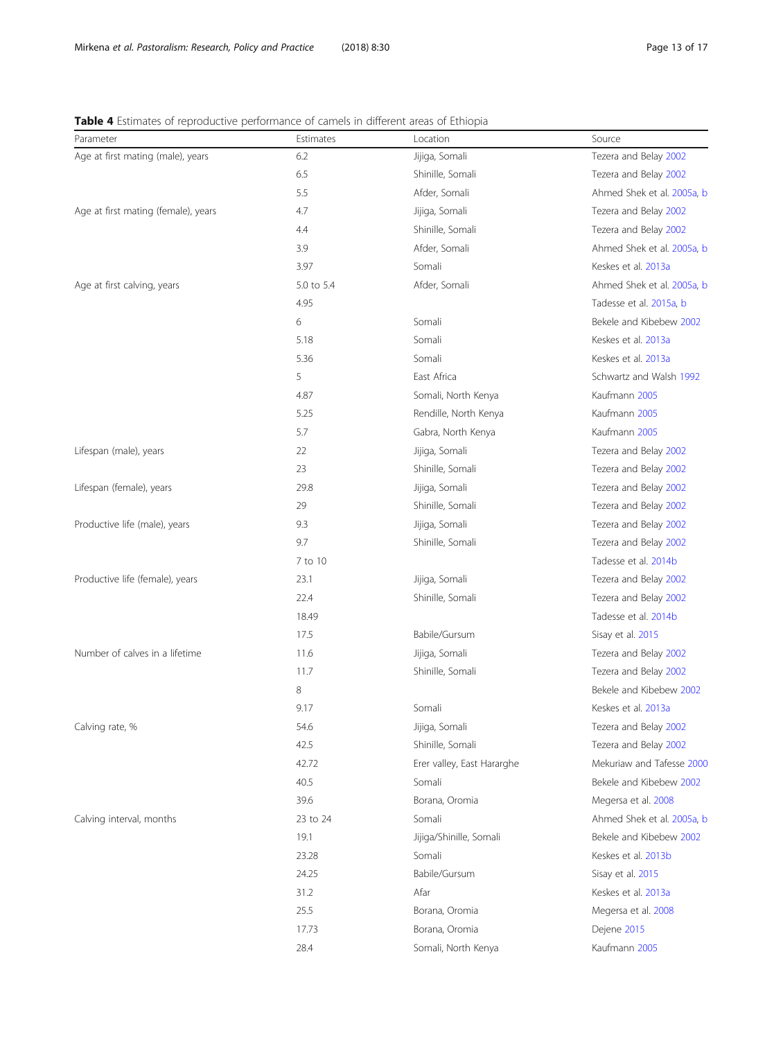# <span id="page-12-0"></span>Table 4 Estimates of reproductive performance of camels in different areas of Ethiopia

| Parameter                           | Estimates  | Location                   | Source                     |
|-------------------------------------|------------|----------------------------|----------------------------|
| Age at first mating (male), years   | 6.2        | Jijiga, Somali             | Tezera and Belay 2002      |
|                                     | 6.5        | Shinille, Somali           | Tezera and Belay 2002      |
|                                     | 5.5        | Afder, Somali              | Ahmed Shek et al. 2005a, b |
| Age at first mating (female), years | 4.7        | Jijiga, Somali             | Tezera and Belay 2002      |
|                                     | 4.4        | Shinille, Somali           | Tezera and Belay 2002      |
|                                     | 3.9        | Afder, Somali              | Ahmed Shek et al. 2005a, b |
|                                     | 3.97       | Somali                     | Keskes et al. 2013a        |
| Age at first calving, years         | 5.0 to 5.4 | Afder, Somali              | Ahmed Shek et al. 2005a, b |
|                                     | 4.95       |                            | Tadesse et al. 2015a, b    |
|                                     | 6          | Somali                     | Bekele and Kibebew 2002    |
|                                     | 5.18       | Somali                     | Keskes et al. 2013a        |
|                                     | 5.36       | Somali                     | Keskes et al. 2013a        |
|                                     | 5          | East Africa                | Schwartz and Walsh 1992    |
|                                     | 4.87       | Somali, North Kenya        | Kaufmann 2005              |
|                                     | 5.25       | Rendille, North Kenya      | Kaufmann 2005              |
|                                     | 5.7        | Gabra, North Kenya         | Kaufmann 2005              |
| Lifespan (male), years              | 22         | Jijiga, Somali             | Tezera and Belay 2002      |
|                                     | 23         | Shinille, Somali           | Tezera and Belay 2002      |
| Lifespan (female), years            | 29.8       | Jijiga, Somali             | Tezera and Belay 2002      |
|                                     | 29         | Shinille, Somali           | Tezera and Belay 2002      |
| Productive life (male), years       | 9.3        | Jijiga, Somali             | Tezera and Belay 2002      |
|                                     | 9.7        | Shinille, Somali           | Tezera and Belay 2002      |
|                                     | 7 to 10    |                            | Tadesse et al. 2014b       |
| Productive life (female), years     | 23.1       | Jijiga, Somali             | Tezera and Belay 2002      |
|                                     | 22.4       | Shinille, Somali           | Tezera and Belay 2002      |
|                                     | 18.49      |                            | Tadesse et al. 2014b       |
|                                     | 17.5       | Babile/Gursum              | Sisay et al. 2015          |
| Number of calves in a lifetime      | 11.6       | Jijiga, Somali             | Tezera and Belay 2002      |
|                                     | 11.7       | Shinille, Somali           | Tezera and Belay 2002      |
|                                     | 8          |                            | Bekele and Kibebew 2002    |
|                                     | 9.17       | Somali                     | Keskes et al. 2013a        |
| Calving rate, %                     | 54.6       | Jijiga, Somali             | Tezera and Belay 2002      |
|                                     | 42.5       | Shinille, Somali           | Tezera and Belay 2002      |
|                                     | 42.72      | Erer valley, East Hararghe | Mekuriaw and Tafesse 2000  |
|                                     | 40.5       | Somali                     | Bekele and Kibebew 2002    |
|                                     | 39.6       | Borana, Oromia             | Megersa et al. 2008        |
| Calving interval, months            | 23 to 24   | Somali                     | Ahmed Shek et al. 2005a, b |
|                                     | 19.1       | Jijiga/Shinille, Somali    | Bekele and Kibebew 2002    |
|                                     | 23.28      | Somali                     | Keskes et al. 2013b        |
|                                     | 24.25      | Babile/Gursum              | Sisay et al. 2015          |
|                                     | 31.2       | Afar                       | Keskes et al. 2013a        |
|                                     | 25.5       | Borana, Oromia             | Megersa et al. 2008        |
|                                     | 17.73      | Borana, Oromia             | Dejene 2015                |
|                                     | 28.4       | Somali, North Kenya        | Kaufmann 2005              |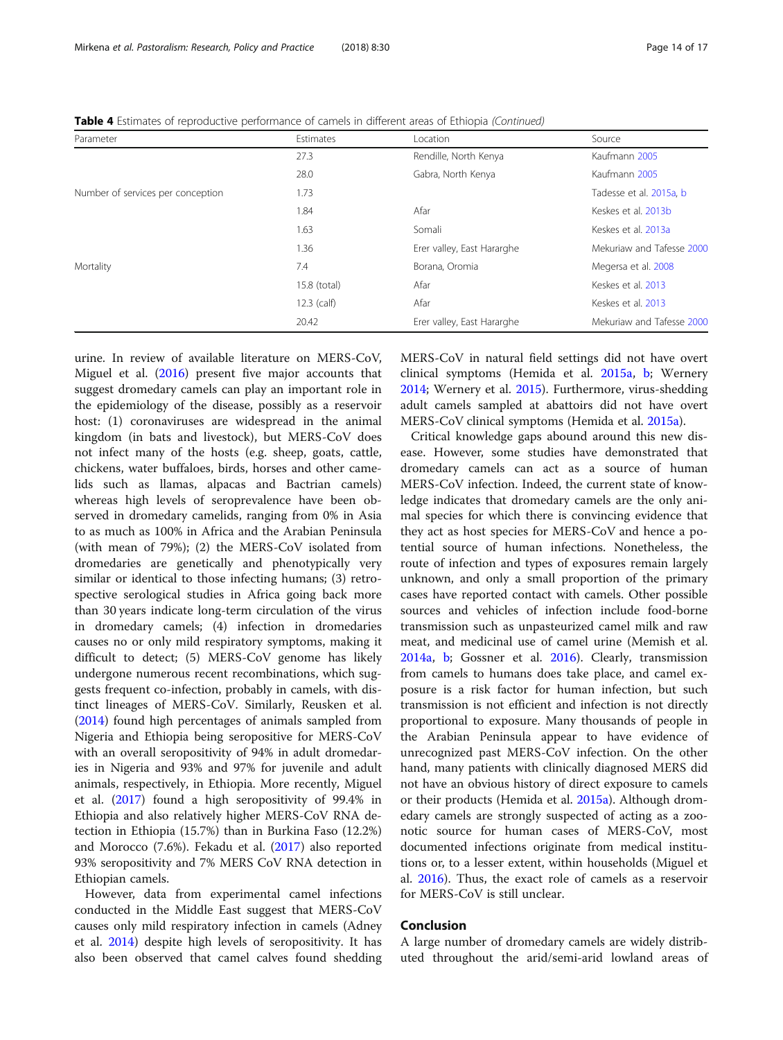| Parameter                         | Estimates     | Location                   | Source                    |
|-----------------------------------|---------------|----------------------------|---------------------------|
|                                   | 27.3          | Rendille, North Kenya      | Kaufmann 2005             |
|                                   | 28.0          | Gabra, North Kenya         | Kaufmann 2005             |
| Number of services per conception | 1.73          |                            | Tadesse et al. 2015a, b   |
|                                   | 1.84          | Afar                       | Keskes et al. 2013b       |
|                                   | 1.63          | Somali                     | Keskes et al. 2013a       |
|                                   | 1.36          | Erer valley, East Hararghe | Mekuriaw and Tafesse 2000 |
| Mortality                         | 7.4           | Borana, Oromia             | Megersa et al. 2008       |
|                                   | 15.8 (total)  | Afar                       | Keskes et al. 2013        |
|                                   | $12.3$ (calf) | Afar                       | Keskes et al. 2013        |
|                                   | 20.42         | Erer valley, East Hararghe | Mekuriaw and Tafesse 2000 |

Table 4 Estimates of reproductive performance of camels in different areas of Ethiopia (Continued)

urine. In review of available literature on MERS-CoV, Miguel et al. ([2016\)](#page-15-0) present five major accounts that suggest dromedary camels can play an important role in the epidemiology of the disease, possibly as a reservoir host: (1) coronaviruses are widespread in the animal kingdom (in bats and livestock), but MERS-CoV does not infect many of the hosts (e.g. sheep, goats, cattle, chickens, water buffaloes, birds, horses and other camelids such as llamas, alpacas and Bactrian camels) whereas high levels of seroprevalence have been observed in dromedary camelids, ranging from 0% in Asia to as much as 100% in Africa and the Arabian Peninsula (with mean of 79%); (2) the MERS-CoV isolated from dromedaries are genetically and phenotypically very similar or identical to those infecting humans; (3) retrospective serological studies in Africa going back more than 30 years indicate long-term circulation of the virus in dromedary camels; (4) infection in dromedaries causes no or only mild respiratory symptoms, making it difficult to detect; (5) MERS-CoV genome has likely undergone numerous recent recombinations, which suggests frequent co-infection, probably in camels, with distinct lineages of MERS-CoV. Similarly, Reusken et al. ([2014](#page-15-0)) found high percentages of animals sampled from Nigeria and Ethiopia being seropositive for MERS-CoV with an overall seropositivity of 94% in adult dromedaries in Nigeria and 93% and 97% for juvenile and adult animals, respectively, in Ethiopia. More recently, Miguel et al. ([2017\)](#page-15-0) found a high seropositivity of 99.4% in Ethiopia and also relatively higher MERS-CoV RNA detection in Ethiopia (15.7%) than in Burkina Faso (12.2%) and Morocco (7.6%). Fekadu et al. [\(2017\)](#page-15-0) also reported 93% seropositivity and 7% MERS CoV RNA detection in Ethiopian camels.

However, data from experimental camel infections conducted in the Middle East suggest that MERS-CoV causes only mild respiratory infection in camels (Adney et al. [2014](#page-14-0)) despite high levels of seropositivity. It has also been observed that camel calves found shedding MERS-CoV in natural field settings did not have overt clinical symptoms (Hemida et al. [2015a](#page-15-0), [b;](#page-15-0) Wernery [2014](#page-16-0); Wernery et al. [2015](#page-16-0)). Furthermore, virus-shedding adult camels sampled at abattoirs did not have overt MERS-CoV clinical symptoms (Hemida et al. [2015a\)](#page-15-0).

Critical knowledge gaps abound around this new disease. However, some studies have demonstrated that dromedary camels can act as a source of human MERS-CoV infection. Indeed, the current state of knowledge indicates that dromedary camels are the only animal species for which there is convincing evidence that they act as host species for MERS-CoV and hence a potential source of human infections. Nonetheless, the route of infection and types of exposures remain largely unknown, and only a small proportion of the primary cases have reported contact with camels. Other possible sources and vehicles of infection include food-borne transmission such as unpasteurized camel milk and raw meat, and medicinal use of camel urine (Memish et al. [2014a,](#page-15-0) [b](#page-15-0); Gossner et al. [2016](#page-15-0)). Clearly, transmission from camels to humans does take place, and camel exposure is a risk factor for human infection, but such transmission is not efficient and infection is not directly proportional to exposure. Many thousands of people in the Arabian Peninsula appear to have evidence of unrecognized past MERS-CoV infection. On the other hand, many patients with clinically diagnosed MERS did not have an obvious history of direct exposure to camels or their products (Hemida et al. [2015a](#page-15-0)). Although dromedary camels are strongly suspected of acting as a zoonotic source for human cases of MERS-CoV, most documented infections originate from medical institutions or, to a lesser extent, within households (Miguel et al. [2016\)](#page-15-0). Thus, the exact role of camels as a reservoir for MERS-CoV is still unclear.

#### Conclusion

A large number of dromedary camels are widely distributed throughout the arid/semi-arid lowland areas of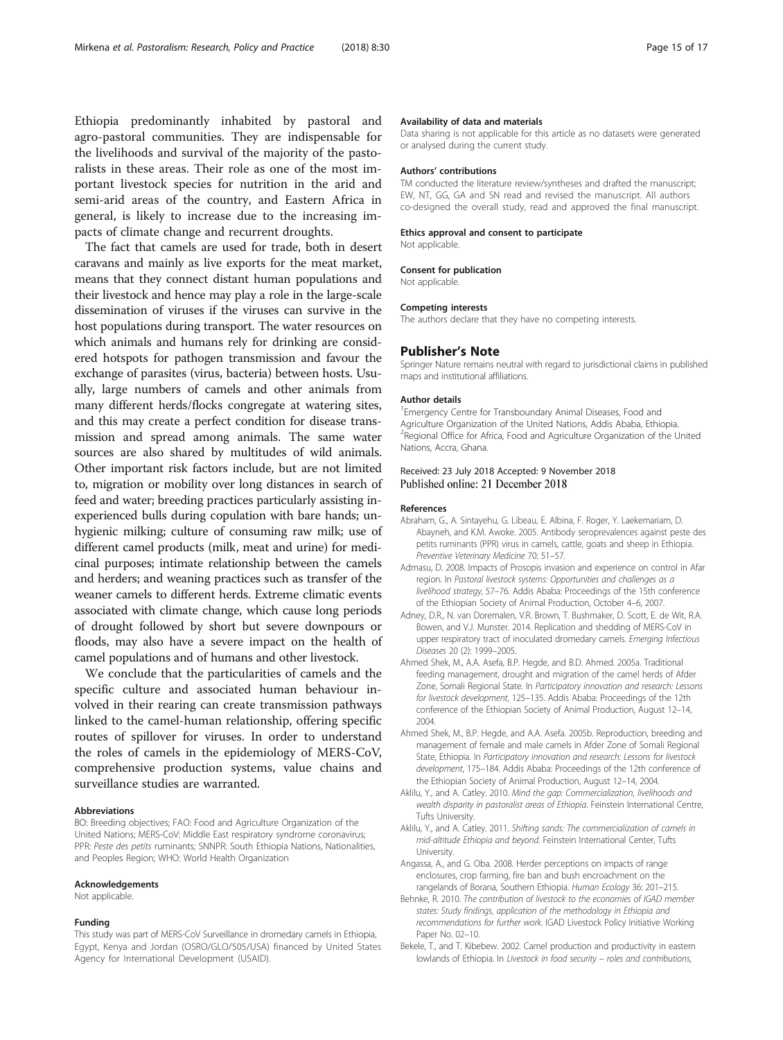<span id="page-14-0"></span>Ethiopia predominantly inhabited by pastoral and agro-pastoral communities. They are indispensable for the livelihoods and survival of the majority of the pastoralists in these areas. Their role as one of the most important livestock species for nutrition in the arid and semi-arid areas of the country, and Eastern Africa in general, is likely to increase due to the increasing impacts of climate change and recurrent droughts.

The fact that camels are used for trade, both in desert caravans and mainly as live exports for the meat market, means that they connect distant human populations and their livestock and hence may play a role in the large-scale dissemination of viruses if the viruses can survive in the host populations during transport. The water resources on which animals and humans rely for drinking are considered hotspots for pathogen transmission and favour the exchange of parasites (virus, bacteria) between hosts. Usually, large numbers of camels and other animals from many different herds/flocks congregate at watering sites, and this may create a perfect condition for disease transmission and spread among animals. The same water sources are also shared by multitudes of wild animals. Other important risk factors include, but are not limited to, migration or mobility over long distances in search of feed and water; breeding practices particularly assisting inexperienced bulls during copulation with bare hands; unhygienic milking; culture of consuming raw milk; use of different camel products (milk, meat and urine) for medicinal purposes; intimate relationship between the camels and herders; and weaning practices such as transfer of the weaner camels to different herds. Extreme climatic events associated with climate change, which cause long periods of drought followed by short but severe downpours or floods, may also have a severe impact on the health of camel populations and of humans and other livestock.

We conclude that the particularities of camels and the specific culture and associated human behaviour involved in their rearing can create transmission pathways linked to the camel-human relationship, offering specific routes of spillover for viruses. In order to understand the roles of camels in the epidemiology of MERS-CoV, comprehensive production systems, value chains and surveillance studies are warranted.

#### Abbreviations

BO: Breeding objectives; FAO: Food and Agriculture Organization of the United Nations; MERS-CoV: Middle East respiratory syndrome coronavirus; PPR: Peste des petits ruminants; SNNPR: South Ethiopia Nations, Nationalities, and Peoples Region; WHO: World Health Organization

#### Acknowledgements

Not applicable.

#### Funding

This study was part of MERS-CoV Surveillance in dromedary camels in Ethiopia, Egypt, Kenya and Jordan (OSRO/GLO/505/USA) financed by United States Agency for International Development (USAID).

#### Availability of data and materials

Data sharing is not applicable for this article as no datasets were generated or analysed during the current study.

#### Authors' contributions

TM conducted the literature review/syntheses and drafted the manuscript; EW, NT, GG, GA and SN read and revised the manuscript. All authors co-designed the overall study, read and approved the final manuscript.

#### Ethics approval and consent to participate

Not applicable.

#### Consent for publication

Not applicable.

#### Competing interests

The authors declare that they have no competing interests.

#### Publisher's Note

Springer Nature remains neutral with regard to jurisdictional claims in published maps and institutional affiliations.

#### Author details

<sup>1</sup> Emergency Centre for Transboundary Animal Diseases, Food and Agriculture Organization of the United Nations, Addis Ababa, Ethiopia. <sup>2</sup>Regional Office for Africa, Food and Agriculture Organization of the United Nations, Accra, Ghana.

#### Received: 23 July 2018 Accepted: 9 November 2018 Published online: 21 December 2018

#### References

- Abraham, G., A. Sintayehu, G. Libeau, E. Albina, F. Roger, Y. Laekemariam, D. Abayneh, and K.M. Awoke. 2005. Antibody seroprevalences against peste des petits ruminants (PPR) virus in camels, cattle, goats and sheep in Ethiopia. Preventive Veterinary Medicine 70: 51–57.
- Admasu, D. 2008. Impacts of Prosopis invasion and experience on control in Afar region. In Pastoral livestock systems: Opportunities and challenges as a livelihood strategy, 57–76. Addis Ababa: Proceedings of the 15th conference of the Ethiopian Society of Animal Production, October 4–6, 2007.
- Adney, D.R., N. van Doremalen, V.R. Brown, T. Bushmaker, D. Scott, E. de Wit, R.A. Bowen, and V.J. Munster. 2014. Replication and shedding of MERS-CoV in upper respiratory tract of inoculated dromedary camels. Emerging Infectious Diseases 20 (2): 1999–2005.
- Ahmed Shek, M., A.A. Asefa, B.P. Hegde, and B.D. Ahmed. 2005a. Traditional feeding management, drought and migration of the camel herds of Afder Zone, Somali Regional State. In Participatory innovation and research: Lessons for livestock development, 125–135. Addis Ababa: Proceedings of the 12th conference of the Ethiopian Society of Animal Production, August 12–14, 2004.
- Ahmed Shek, M., B.P. Hegde, and A.A. Asefa. 2005b. Reproduction, breeding and management of female and male camels in Afder Zone of Somali Regional State, Ethiopia. In Participatory innovation and research: Lessons for livestock development, 175–184. Addis Ababa: Proceedings of the 12th conference of the Ethiopian Society of Animal Production, August 12–14, 2004.
- Aklilu, Y., and A. Catley. 2010. Mind the gap: Commercialization, livelihoods and wealth disparity in pastoralist areas of Ethiopia. Feinstein International Centre, Tufts University.
- Aklilu, Y., and A. Catley. 2011. Shifting sands: The commercialization of camels in mid-altitude Ethiopia and beyond. Feinstein International Center, Tufts **University**
- Angassa, A., and G. Oba. 2008. Herder perceptions on impacts of range enclosures, crop farming, fire ban and bush encroachment on the rangelands of Borana, Southern Ethiopia. Human Ecology 36: 201–215.
- Behnke, R. 2010. The contribution of livestock to the economies of IGAD member states: Study findings, application of the methodology in Ethiopia and recommendations for further work. IGAD Livestock Policy Initiative Working Paper No. 02–10.
- Bekele, T., and T. Kibebew. 2002. Camel production and productivity in eastern lowlands of Ethiopia. In Livestock in food security – roles and contributions,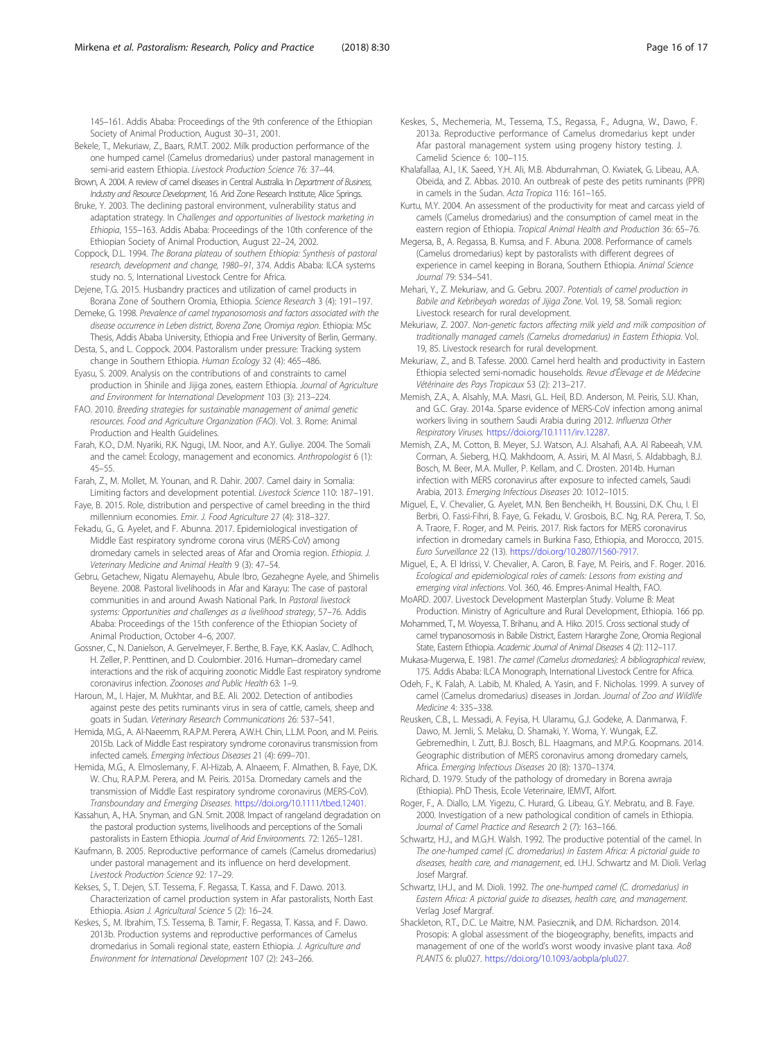<span id="page-15-0"></span>145–161. Addis Ababa: Proceedings of the 9th conference of the Ethiopian Society of Animal Production, August 30–31, 2001.

- Bekele, T., Mekuriaw, Z., Baars, R.M.T. 2002. Milk production performance of the one humped camel (Camelus dromedarius) under pastoral management in semi-arid eastern Ethiopia. Livestock Production Science 76: 37–44.
- Brown, A. 2004. A review of camel diseases in Central Australia. In Department of Business, Industry and Resource Development, 16. Arid Zone Research Institute, Alice Springs.
- Bruke, Y. 2003. The declining pastoral environment, vulnerability status and adaptation strategy. In Challenges and opportunities of livestock marketing in Ethiopia, 155–163. Addis Ababa: Proceedings of the 10th conference of the Ethiopian Society of Animal Production, August 22–24, 2002.
- Coppock, D.L. 1994. The Borana plateau of southern Ethiopia: Synthesis of pastoral research, development and change, 1980–91, 374. Addis Ababa: ILCA systems study no. 5, International Livestock Centre for Africa.
- Dejene, T.G. 2015. Husbandry practices and utilization of camel products in Borana Zone of Southern Oromia, Ethiopia. Science Research 3 (4): 191–197.
- Demeke, G. 1998. Prevalence of camel trypanosomosis and factors associated with the disease occurrence in Leben district, Borena Zone, Oromiya region. Ethiopia: MSc Thesis, Addis Ababa University, Ethiopia and Free University of Berlin, Germany. Desta, S., and L. Coppock. 2004. Pastoralism under pressure: Tracking system
- change in Southern Ethiopia. Human Ecology 32 (4): 465–486.
- Eyasu, S. 2009. Analysis on the contributions of and constraints to camel production in Shinile and Jijiga zones, eastern Ethiopia. Journal of Agriculture and Environment for International Development 103 (3): 213–224.
- FAO. 2010. Breeding strategies for sustainable management of animal genetic resources. Food and Agriculture Organization (FAO). Vol. 3. Rome: Animal Production and Health Guidelines.
- Farah, K.O., D.M. Nyariki, R.K. Ngugi, I.M. Noor, and A.Y. Guliye. 2004. The Somali and the camel: Ecology, management and economics. Anthropologist 6 (1): 45–55.
- Farah, Z., M. Mollet, M. Younan, and R. Dahir. 2007. Camel dairy in Somalia: Limiting factors and development potential. Livestock Science 110: 187–191.
- Faye, B. 2015. Role, distribution and perspective of camel breeding in the third millennium economies. Emir. J. Food Agriculture 27 (4): 318–327.
- Fekadu, G., G. Ayelet, and F. Abunna. 2017. Epidemiological investigation of Middle East respiratory syndrome corona virus (MERS-CoV) among dromedary camels in selected areas of Afar and Oromia region. Ethiopia. J. Veterinary Medicine and Animal Health 9 (3): 47–54.
- Gebru, Getachew, Nigatu Alemayehu, Abule Ibro, Gezahegne Ayele, and Shimelis Beyene. 2008. Pastoral livelihoods in Afar and Karayu: The case of pastoral communities in and around Awash National Park. In Pastoral livestock systems: Opportunities and challenges as a livelihood strategy, 57–76. Addis Ababa: Proceedings of the 15th conference of the Ethiopian Society of Animal Production, October 4–6, 2007.
- Gossner, C., N. Danielson, A. Gervelmeyer, F. Berthe, B. Faye, K.K. Aaslav, C. Adlhoch, H. Zeller, P. Penttinen, and D. Coulombier. 2016. Human–dromedary camel interactions and the risk of acquiring zoonotic Middle East respiratory syndrome coronavirus infection. Zoonoses and Public Health 63: 1–9.
- Haroun, M., I. Hajer, M. Mukhtar, and B.E. Ali. 2002. Detection of antibodies against peste des petits ruminants virus in sera of cattle, camels, sheep and goats in Sudan. Veterinary Research Communications 26: 537–541.
- Hemida, M.G., A. Al-Naeemm, R.A.P.M. Perera, A.W.H. Chin, L.L.M. Poon, and M. Peiris. 2015b. Lack of Middle East respiratory syndrome coronavirus transmission from infected camels. Emerging Infectious Diseases 21 (4): 699–701.
- Hemida, M.G., A. Elmoslemany, F. Al-Hizab, A. Alnaeem, F. Almathen, B. Faye, D.K. W. Chu, R.A.P.M. Perera, and M. Peiris. 2015a. Dromedary camels and the transmission of Middle East respiratory syndrome coronavirus (MERS-CoV). Transboundary and Emerging Diseases. <https://doi.org/10.1111/tbed.12401>.
- Kassahun, A., H.A. Snyman, and G.N. Smit. 2008. Impact of rangeland degradation on the pastoral production systems, livelihoods and perceptions of the Somali pastoralists in Eastern Ethiopia. Journal of Arid Environments. 72: 1265–1281.
- Kaufmann, B. 2005. Reproductive performance of camels (Camelus dromedarius) under pastoral management and its influence on herd development. Livestock Production Science 92: 17–29.
- Kekses, S., T. Dejen, S.T. Tessema, F. Regassa, T. Kassa, and F. Dawo. 2013. Characterization of camel production system in Afar pastoralists, North East Ethiopia. Asian J. Agricultural Science 5 (2): 16–24.
- Keskes, S., M. Ibrahim, T.S. Tessema, B. Tamir, F. Regassa, T. Kassa, and F. Dawo. 2013b. Production systems and reproductive performances of Camelus dromedarius in Somali regional state, eastern Ethiopia. J. Agriculture and Environment for International Development 107 (2): 243–266.
- Keskes, S., Mechemeria, M., Tessema, T.S., Regassa, F., Adugna, W., Dawo, F. 2013a. Reproductive performance of Camelus dromedarius kept under Afar pastoral management system using progeny history testing. J. Camelid Science 6: 100–115.
- Khalafallaa, A.I., I.K. Saeed, Y.H. Ali, M.B. Abdurrahman, O. Kwiatek, G. Libeau, A.A. Obeida, and Z. Abbas. 2010. An outbreak of peste des petits ruminants (PPR) in camels in the Sudan. Acta Tropica 116: 161–165.
- Kurtu, M.Y. 2004. An assessment of the productivity for meat and carcass yield of camels (Camelus dromedarius) and the consumption of camel meat in the eastern region of Ethiopia. Tropical Animal Health and Production 36: 65–76.
- Megersa, B., A. Regassa, B. Kumsa, and F. Abuna. 2008. Performance of camels (Camelus dromedarius) kept by pastoralists with different degrees of experience in camel keeping in Borana, Southern Ethiopia. Animal Science Journal 79: 534–541.
- Mehari, Y., Z. Mekuriaw, and G. Gebru. 2007. Potentials of camel production in Babile and Kebribeyah woredas of Jijiga Zone. Vol. 19, 58. Somali region: Livestock research for rural development.
- Mekuriaw, Z. 2007. Non-genetic factors affecting milk yield and milk composition of traditionally managed camels (Camelus dromedarius) in Eastern Ethiopia. Vol. 19, 85. Livestock research for rural development.
- Mekuriaw, Z., and B. Tafesse. 2000. Camel herd health and productivity in Eastern Ethiopia selected semi-nomadic households. Revue d'Élevage et de Médecine Vétérinaire des Pays Tropicaux 53 (2): 213–217.
- Memish, Z.A., A. Alsahly, M.A. Masri, G.L. Heil, B.D. Anderson, M. Peiris, S.U. Khan, and G.C. Gray. 2014a. Sparse evidence of MERS-CoV infection among animal workers living in southern Saudi Arabia during 2012. Influenza Other Respiratory Viruses. [https://doi.org/10.1111/irv.12287.](https://doi.org/10.1111/irv.12287)
- Memish, Z.A., M. Cotton, B. Meyer, S.J. Watson, A.J. Alsahafi, A.A. Al Rabeeah, V.M. Corman, A. Sieberg, H.Q. Makhdoom, A. Assiri, M. Al Masri, S. Aldabbagh, B.J. Bosch, M. Beer, M.A. Muller, P. Kellam, and C. Drosten. 2014b. Human infection with MERS coronavirus after exposure to infected camels, Saudi Arabia, 2013. Emerging Infectious Diseases 20: 1012–1015.
- Miguel, E., V. Chevalier, G. Ayelet, M.N. Ben Bencheikh, H. Boussini, D.K. Chu, I. El Berbri, O. Fassi-Fihri, B. Faye, G. Fekadu, V. Grosbois, B.C. Ng, R.A. Perera, T. So, A. Traore, F. Roger, and M. Peiris. 2017. Risk factors for MERS coronavirus infection in dromedary camels in Burkina Faso, Ethiopia, and Morocco, 2015. Euro Surveillance 22 (13). [https://doi.org/10.2807/1560-7917.](https://doi.org/10.2807/1560-7917)
- Miguel, E., A. El Idrissi, V. Chevalier, A. Caron, B. Faye, M. Peiris, and F. Roger. 2016. Ecological and epidemiological roles of camels: Lessons from existing and emerging viral infections. Vol. 360, 46. Empres-Animal Health, FAO.
- MoARD. 2007. Livestock Development Masterplan Study. Volume B: Meat Production. Ministry of Agriculture and Rural Development, Ethiopia. 166 pp.
- Mohammed, T., M. Woyessa, T. Brihanu, and A. Hiko. 2015. Cross sectional study of camel trypanosomosis in Babile District, Eastern Hararghe Zone, Oromia Regional State, Eastern Ethiopia. Academic Journal of Animal Diseases 4 (2): 112–117.
- Mukasa-Mugerwa, E. 1981. The camel (Camelus dromedaries): A bibliographical review, 175. Addis Ababa: ILCA Monograph, International Livestock Centre for Africa.
- Odeh, F., K. Falah, A. Labib, M. Khaled, A. Yasin, and F. Nicholas. 1999. A survey of camel (Camelus dromedarius) diseases in Jordan. Journal of Zoo and Wildlife Medicine 4: 335–338.
- Reusken, C.B., L. Messadi, A. Feyisa, H. Ularamu, G.J. Godeke, A. Danmarwa, F. Dawo, M. Jemli, S. Melaku, D. Shamaki, Y. Woma, Y. Wungak, E.Z. Gebremedhin, I. Zutt, B.J. Bosch, B.L. Haagmans, and M.P.G. Koopmans. 2014. Geographic distribution of MERS coronavirus among dromedary camels, Africa. Emerging Infectious Diseases 20 (8): 1370–1374.
- Richard, D. 1979. Study of the pathology of dromedary in Borena awraja (Ethiopia). PhD Thesis, Ecole Veterinaire, IEMVT, Alfort.
- Roger, F., A. Diallo, L.M. Yigezu, C. Hurard, G. Libeau, G.Y. Mebratu, and B. Faye. 2000. Investigation of a new pathological condition of camels in Ethiopia. Journal of Camel Practice and Research 2 (7): 163–166.
- Schwartz, H.J., and M.G.H. Walsh. 1992. The productive potential of the camel. In The one-humped camel (C. dromedarius) in Eastern Africa: A pictorial guide to diseases, health care, and management, ed. I.H.J. Schwartz and M. Dioli. Verlag Josef Margraf.
- Schwartz, I.H.J., and M. Dioli. 1992. The one-humped camel (C. dromedarius) in Eastern Africa: A pictorial guide to diseases, health care, and management. Verlag Josef Margraf.
- Shackleton, R.T., D.C. Le Maitre, N.M. Pasiecznik, and D.M. Richardson. 2014. Prosopis: A global assessment of the biogeography, benefits, impacts and management of one of the world's worst woody invasive plant taxa. AoB PLANTS 6: plu027. <https://doi.org/10.1093/aobpla/plu027>.